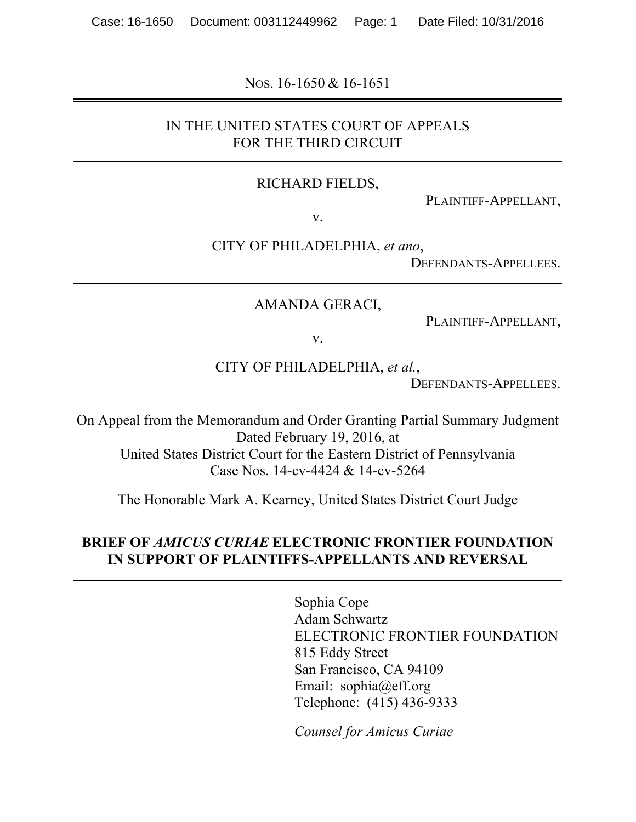NOS. 16-1650 & 16-1651

### IN THE UNITED STATES COURT OF APPEALS FOR THE THIRD CIRCUIT

#### RICHARD FIELDS,

PLAINTIFF-APPELLANT,

v.

CITY OF PHILADELPHIA, *et ano*,

DEFENDANTS-APPELLEES.

AMANDA GERACI,

PLAINTIFF-APPELLANT,

v.

CITY OF PHILADELPHIA, *et al.*,

DEFENDANTS-APPELLEES.

On Appeal from the Memorandum and Order Granting Partial Summary Judgment Dated February 19, 2016, at United States District Court for the Eastern District of Pennsylvania Case Nos. 14-cv-4424 & 14-cv-5264

The Honorable Mark A. Kearney, United States District Court Judge

#### **BRIEF OF** *AMICUS CURIAE* **ELECTRONIC FRONTIER FOUNDATION IN SUPPORT OF PLAINTIFFS-APPELLANTS AND REVERSAL**

Sophia Cope Adam Schwartz ELECTRONIC FRONTIER FOUNDATION 815 Eddy Street San Francisco, CA 94109 Email: sophia@eff.org Telephone: (415) 436-9333

*Counsel for Amicus Curiae*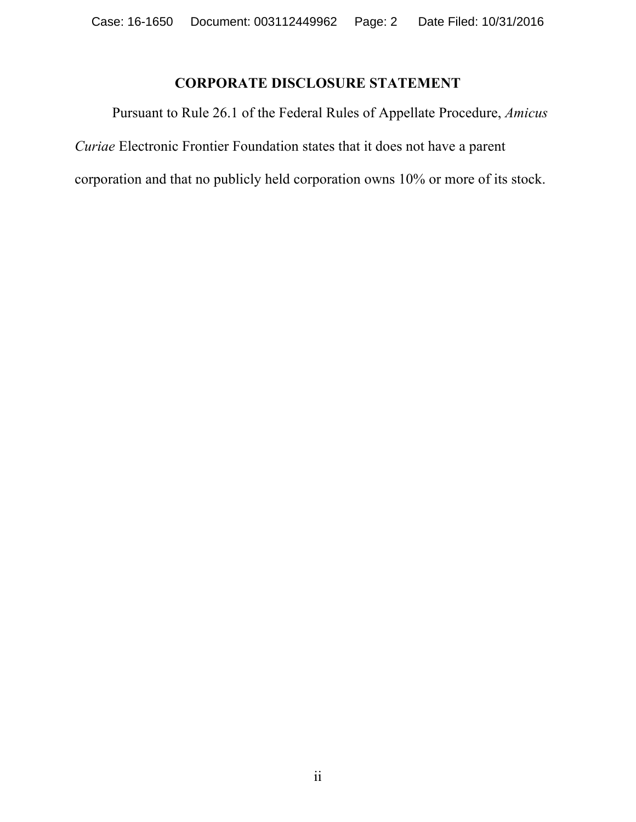# **CORPORATE DISCLOSURE STATEMENT**

Pursuant to Rule 26.1 of the Federal Rules of Appellate Procedure, *Amicus Curiae* Electronic Frontier Foundation states that it does not have a parent corporation and that no publicly held corporation owns 10% or more of its stock.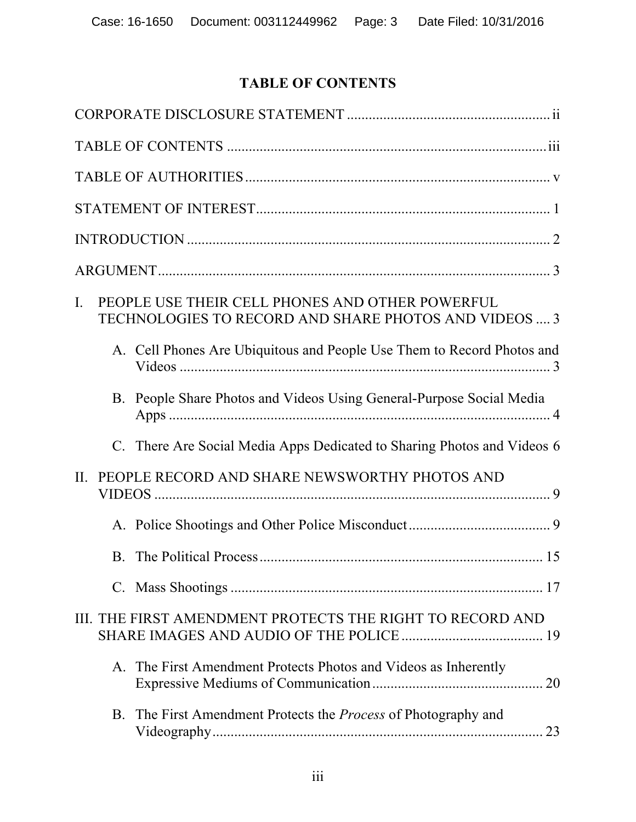# **TABLE OF CONTENTS**

| $\mathbf{I}$ . |    | PEOPLE USE THEIR CELL PHONES AND OTHER POWERFUL<br>TECHNOLOGIES TO RECORD AND SHARE PHOTOS AND VIDEOS  3 |
|----------------|----|----------------------------------------------------------------------------------------------------------|
|                |    | A. Cell Phones Are Ubiquitous and People Use Them to Record Photos and                                   |
|                |    | B. People Share Photos and Videos Using General-Purpose Social Media                                     |
|                |    | C. There Are Social Media Apps Dedicated to Sharing Photos and Videos 6                                  |
| II.            |    | PEOPLE RECORD AND SHARE NEWSWORTHY PHOTOS AND                                                            |
|                |    |                                                                                                          |
|                |    |                                                                                                          |
|                |    |                                                                                                          |
|                |    | III. THE FIRST AMENDMENT PROTECTS THE RIGHT TO RECORD AND                                                |
|                |    | A. The First Amendment Protects Photos and Videos as Inherently<br>20                                    |
|                | B. | The First Amendment Protects the <i>Process</i> of Photography and                                       |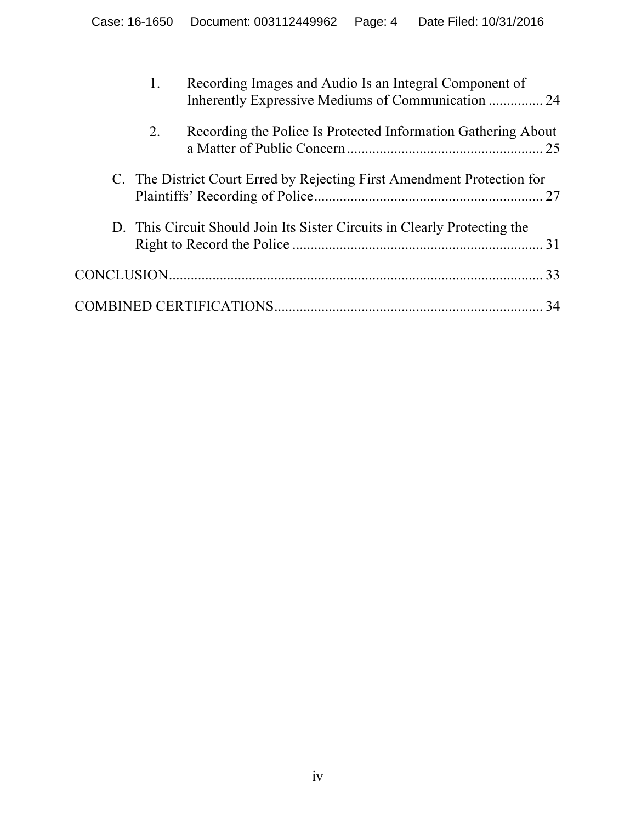|    | Recording Images and Audio Is an Integral Component of<br>Inherently Expressive Mediums of Communication  24 |    |
|----|--------------------------------------------------------------------------------------------------------------|----|
| 2. | Recording the Police Is Protected Information Gathering About                                                |    |
|    | C. The District Court Erred by Rejecting First Amendment Protection for                                      |    |
|    | D. This Circuit Should Join Its Sister Circuits in Clearly Protecting the                                    |    |
|    |                                                                                                              | 33 |
|    |                                                                                                              | 34 |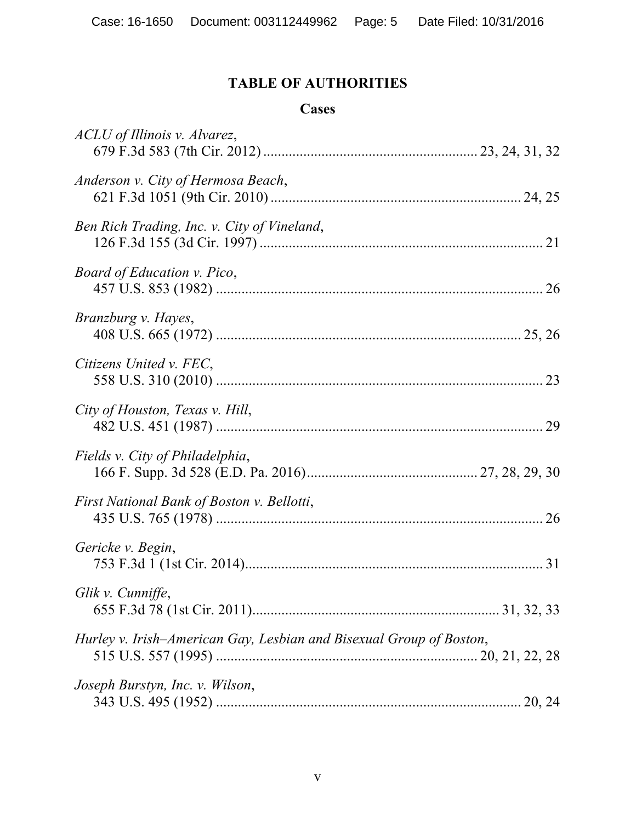# **TABLE OF AUTHORITIES**

#### **Cases**

| ACLU of Illinois v. Alvarez,                                        |  |
|---------------------------------------------------------------------|--|
| Anderson v. City of Hermosa Beach,                                  |  |
| Ben Rich Trading, Inc. v. City of Vineland,                         |  |
| Board of Education v. Pico,                                         |  |
| Branzburg v. Hayes,                                                 |  |
| Citizens United v. FEC,                                             |  |
| City of Houston, Texas v. Hill,                                     |  |
| Fields v. City of Philadelphia,                                     |  |
| First National Bank of Boston v. Bellotti,                          |  |
| Gericke v. Begin,                                                   |  |
| Glik v. Cunniffe,                                                   |  |
| Hurley v. Irish-American Gay, Lesbian and Bisexual Group of Boston, |  |
| Joseph Burstyn, Inc. v. Wilson,                                     |  |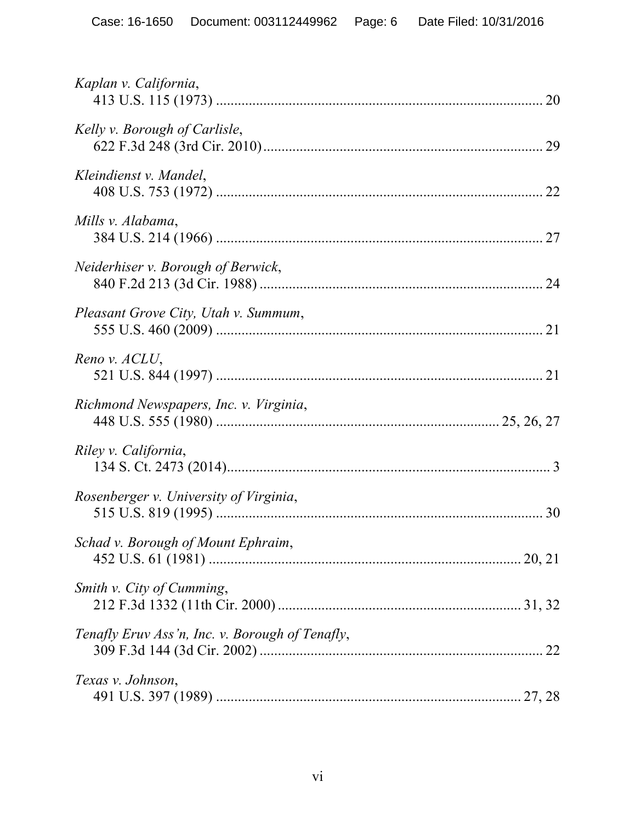| Kaplan v. California,                           |
|-------------------------------------------------|
| Kelly v. Borough of Carlisle,                   |
| Kleindienst v. Mandel,                          |
| Mills v. Alabama,                               |
| Neiderhiser v. Borough of Berwick,              |
| Pleasant Grove City, Utah v. Summum,            |
| Reno v. ACLU,                                   |
| Richmond Newspapers, Inc. v. Virginia,          |
| Riley v. California,                            |
| Rosenberger v. University of Virginia,          |
| Schad v. Borough of Mount Ephraim,              |
| Smith v. City of Cumming,                       |
| Tenafly Eruv Ass'n, Inc. v. Borough of Tenafly, |
| Texas v. Johnson,                               |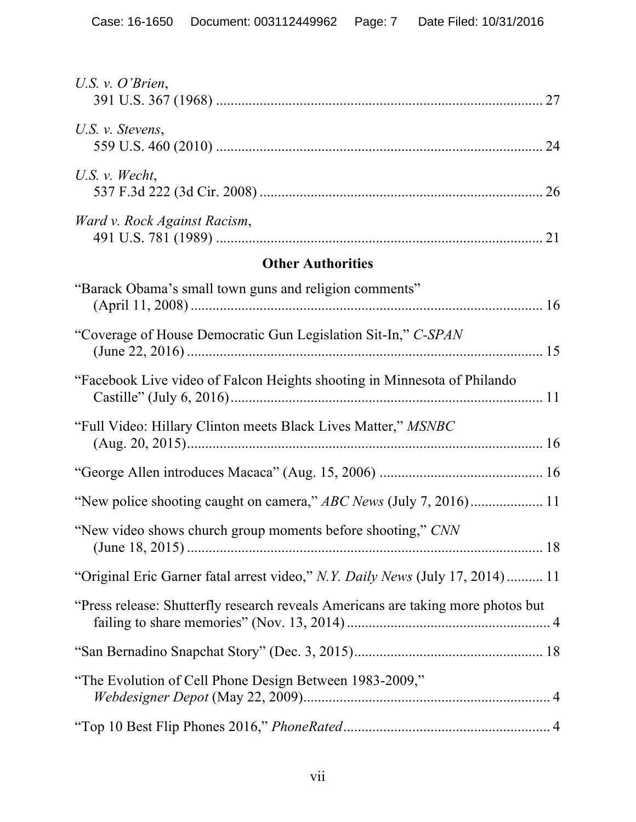| U.S. v. $O'$ Brien,                                                              |
|----------------------------------------------------------------------------------|
| U.S. v. Stevens,                                                                 |
| U.S. $v$ . Wecht,                                                                |
| Ward v. Rock Against Racism,                                                     |
| <b>Other Authorities</b>                                                         |
| "Barack Obama's small town guns and religion comments"                           |
| "Coverage of House Democratic Gun Legislation Sit-In," C-SPAN                    |
| "Facebook Live video of Falcon Heights shooting in Minnesota of Philando         |
| "Full Video: Hillary Clinton meets Black Lives Matter," MSNBC                    |
|                                                                                  |
|                                                                                  |
| "New video shows church group moments before shooting," CNN                      |
| "Original Eric Garner fatal arrest video," N.Y. Daily News (July 17, 2014) 11    |
| "Press release: Shutterfly research reveals Americans are taking more photos but |
|                                                                                  |
| "The Evolution of Cell Phone Design Between 1983-2009,"                          |
|                                                                                  |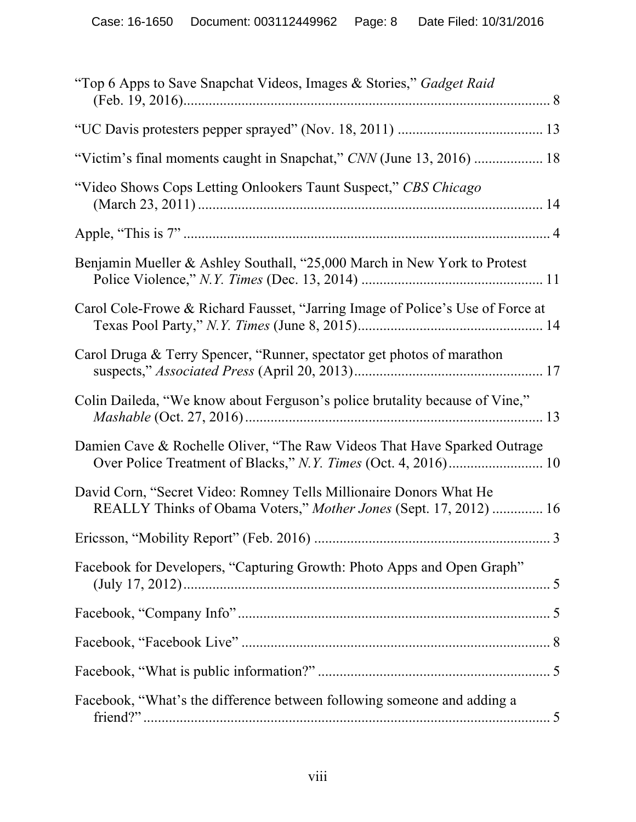| "Top 6 Apps to Save Snapchat Videos, Images & Stories," Gadget Raid                                                                     |
|-----------------------------------------------------------------------------------------------------------------------------------------|
|                                                                                                                                         |
| "Victim's final moments caught in Snapchat," CNN (June 13, 2016)  18                                                                    |
| "Video Shows Cops Letting Onlookers Taunt Suspect," CBS Chicago                                                                         |
|                                                                                                                                         |
| Benjamin Mueller & Ashley Southall, "25,000 March in New York to Protest                                                                |
| Carol Cole-Frowe & Richard Fausset, "Jarring Image of Police's Use of Force at                                                          |
| Carol Druga & Terry Spencer, "Runner, spectator get photos of marathon                                                                  |
| Colin Daileda, "We know about Ferguson's police brutality because of Vine,"                                                             |
| Damien Cave & Rochelle Oliver, "The Raw Videos That Have Sparked Outrage                                                                |
| David Corn, "Secret Video: Romney Tells Millionaire Donors What He<br>REALLY Thinks of Obama Voters," Mother Jones (Sept. 17, 2012)  16 |
|                                                                                                                                         |
| Facebook for Developers, "Capturing Growth: Photo Apps and Open Graph"                                                                  |
|                                                                                                                                         |
|                                                                                                                                         |
|                                                                                                                                         |
| Facebook, "What's the difference between following someone and adding a                                                                 |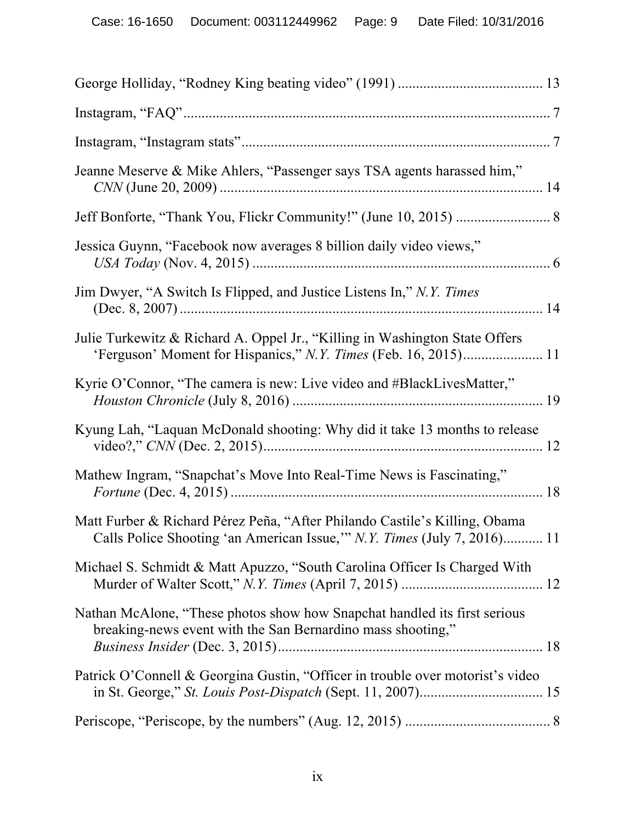| Jeanne Meserve & Mike Ahlers, "Passenger says TSA agents harassed him,"                                                                               |  |
|-------------------------------------------------------------------------------------------------------------------------------------------------------|--|
|                                                                                                                                                       |  |
| Jessica Guynn, "Facebook now averages 8 billion daily video views,"                                                                                   |  |
| Jim Dwyer, "A Switch Is Flipped, and Justice Listens In," N.Y. Times                                                                                  |  |
| Julie Turkewitz & Richard A. Oppel Jr., "Killing in Washington State Offers                                                                           |  |
| Kyrie O'Connor, "The camera is new: Live video and #BlackLivesMatter,"                                                                                |  |
| Kyung Lah, "Laquan McDonald shooting: Why did it take 13 months to release                                                                            |  |
| Mathew Ingram, "Snapchat's Move Into Real-Time News is Fascinating,"                                                                                  |  |
| Matt Furber & Richard Pérez Peña, "After Philando Castile's Killing, Obama<br>Calls Police Shooting 'an American Issue," N.Y. Times (July 7, 2016) 11 |  |
| Michael S. Schmidt & Matt Apuzzo, "South Carolina Officer Is Charged With                                                                             |  |
| Nathan McAlone, "These photos show how Snapchat handled its first serious<br>breaking-news event with the San Bernardino mass shooting,"              |  |
| Patrick O'Connell & Georgina Gustin, "Officer in trouble over motorist's video                                                                        |  |
|                                                                                                                                                       |  |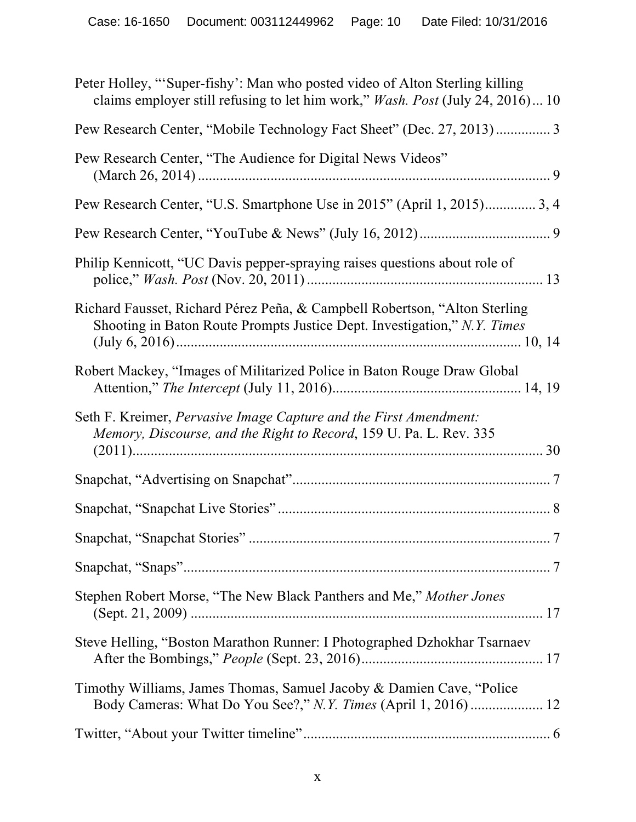| Peter Holley, "Super-fishy': Man who posted video of Alton Sterling killing<br>claims employer still refusing to let him work," <i>Wash. Post</i> (July 24, 2016) 10 |
|----------------------------------------------------------------------------------------------------------------------------------------------------------------------|
| Pew Research Center, "Mobile Technology Fact Sheet" (Dec. 27, 2013) 3                                                                                                |
| Pew Research Center, "The Audience for Digital News Videos"                                                                                                          |
| Pew Research Center, "U.S. Smartphone Use in 2015" (April 1, 2015) 3, 4                                                                                              |
|                                                                                                                                                                      |
| Philip Kennicott, "UC Davis pepper-spraying raises questions about role of                                                                                           |
| Richard Fausset, Richard Pérez Peña, & Campbell Robertson, "Alton Sterling<br>Shooting in Baton Route Prompts Justice Dept. Investigation," N.Y. Times               |
| Robert Mackey, "Images of Militarized Police in Baton Rouge Draw Global                                                                                              |
| Seth F. Kreimer, <i>Pervasive Image Capture and the First Amendment</i> :<br>Memory, Discourse, and the Right to Record, 159 U. Pa. L. Rev. 335                      |
|                                                                                                                                                                      |
|                                                                                                                                                                      |
|                                                                                                                                                                      |
|                                                                                                                                                                      |
| Stephen Robert Morse, "The New Black Panthers and Me," Mother Jones                                                                                                  |
| Steve Helling, "Boston Marathon Runner: I Photographed Dzhokhar Tsarnaev                                                                                             |
| Timothy Williams, James Thomas, Samuel Jacoby & Damien Cave, "Police"                                                                                                |
|                                                                                                                                                                      |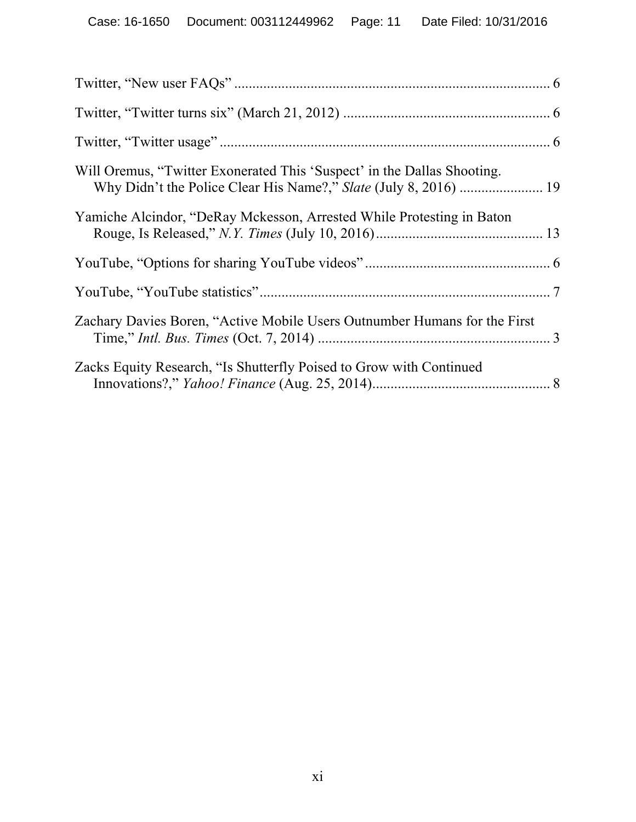| Will Oremus, "Twitter Exonerated This 'Suspect' in the Dallas Shooting.   |  |
|---------------------------------------------------------------------------|--|
| Yamiche Alcindor, "DeRay Mckesson, Arrested While Protesting in Baton     |  |
|                                                                           |  |
|                                                                           |  |
| Zachary Davies Boren, "Active Mobile Users Outnumber Humans for the First |  |
| Zacks Equity Research, "Is Shutterfly Poised to Grow with Continued       |  |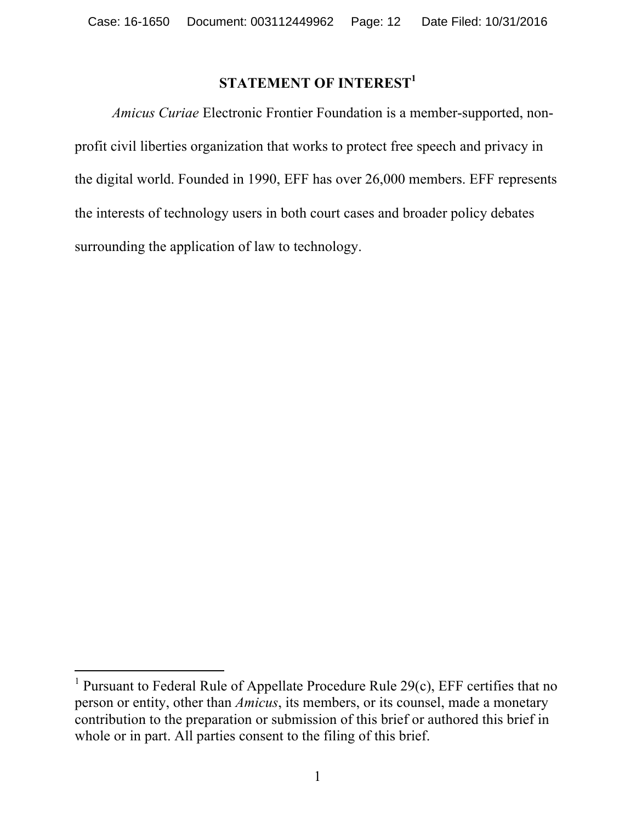# **STATEMENT OF INTEREST<sup>1</sup>**

*Amicus Curiae* Electronic Frontier Foundation is a member-supported, nonprofit civil liberties organization that works to protect free speech and privacy in the digital world. Founded in 1990, EFF has over 26,000 members. EFF represents the interests of technology users in both court cases and broader policy debates surrounding the application of law to technology.

l

<sup>&</sup>lt;sup>1</sup> Pursuant to Federal Rule of Appellate Procedure Rule  $29(c)$ , EFF certifies that no person or entity, other than *Amicus*, its members, or its counsel, made a monetary contribution to the preparation or submission of this brief or authored this brief in whole or in part. All parties consent to the filing of this brief.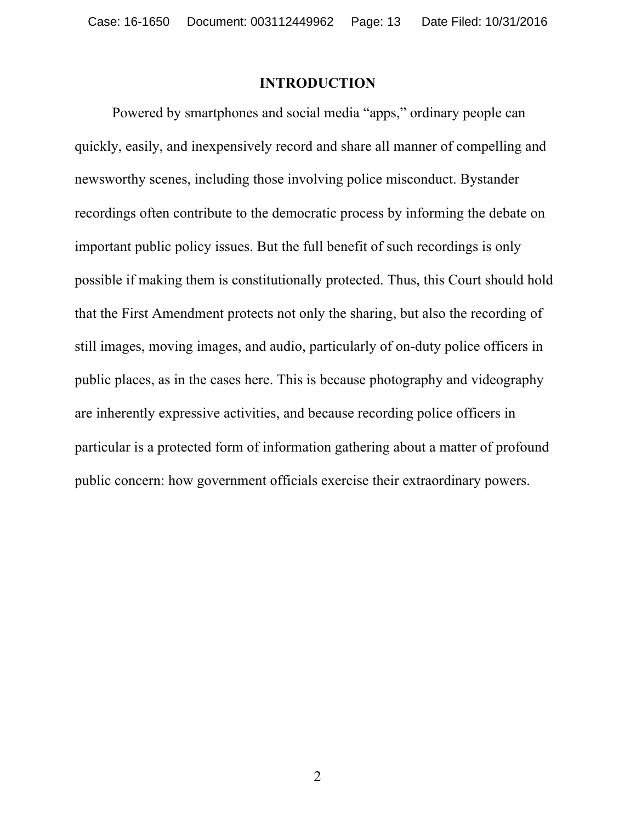#### **INTRODUCTION**

Powered by smartphones and social media "apps," ordinary people can quickly, easily, and inexpensively record and share all manner of compelling and newsworthy scenes, including those involving police misconduct. Bystander recordings often contribute to the democratic process by informing the debate on important public policy issues. But the full benefit of such recordings is only possible if making them is constitutionally protected. Thus, this Court should hold that the First Amendment protects not only the sharing, but also the recording of still images, moving images, and audio, particularly of on-duty police officers in public places, as in the cases here. This is because photography and videography are inherently expressive activities, and because recording police officers in particular is a protected form of information gathering about a matter of profound public concern: how government officials exercise their extraordinary powers.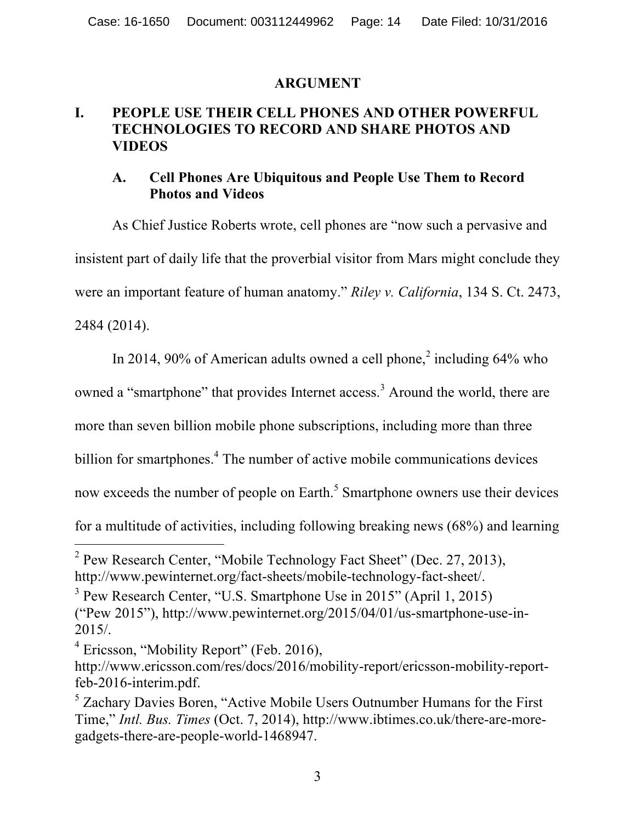#### **ARGUMENT**

## **I. PEOPLE USE THEIR CELL PHONES AND OTHER POWERFUL TECHNOLOGIES TO RECORD AND SHARE PHOTOS AND VIDEOS**

### **A. Cell Phones Are Ubiquitous and People Use Them to Record Photos and Videos**

As Chief Justice Roberts wrote, cell phones are "now such a pervasive and insistent part of daily life that the proverbial visitor from Mars might conclude they were an important feature of human anatomy." *Riley v. California*, 134 S. Ct. 2473, 2484 (2014).

In 2014, 90% of American adults owned a cell phone,<sup>2</sup> including  $64\%$  who

owned a "smartphone" that provides Internet access.<sup>3</sup> Around the world, there are

more than seven billion mobile phone subscriptions, including more than three

billion for smartphones.<sup>4</sup> The number of active mobile communications devices

now exceeds the number of people on Earth.<sup>5</sup> Smartphone owners use their devices

for a multitude of activities, including following breaking news (68%) and learning

<sup>&</sup>lt;sup>2</sup> Pew Research Center, "Mobile Technology Fact Sheet" (Dec. 27, 2013), http://www.pewinternet.org/fact-sheets/mobile-technology-fact-sheet/.

<sup>3</sup> Pew Research Center, "U.S. Smartphone Use in 2015" (April 1, 2015) ("Pew 2015"), http://www.pewinternet.org/2015/04/01/us-smartphone-use-in-2015/.

<sup>&</sup>lt;sup>4</sup> Ericsson, "Mobility Report" (Feb. 2016),

http://www.ericsson.com/res/docs/2016/mobility-report/ericsson-mobility-reportfeb-2016-interim.pdf.

<sup>&</sup>lt;sup>5</sup> Zachary Davies Boren, "Active Mobile Users Outnumber Humans for the First Time," *Intl. Bus. Times* (Oct. 7, 2014), http://www.ibtimes.co.uk/there-are-moregadgets-there-are-people-world-1468947.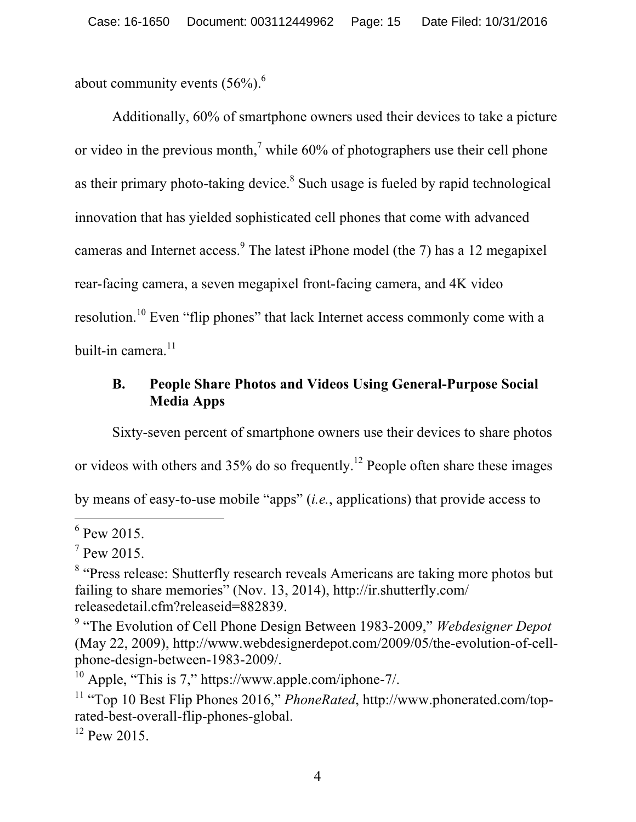about community events  $(56\%)$ .<sup>6</sup>

Additionally, 60% of smartphone owners used their devices to take a picture or video in the previous month,<sup> $7$ </sup> while 60% of photographers use their cell phone as their primary photo-taking device.<sup>8</sup> Such usage is fueled by rapid technological innovation that has yielded sophisticated cell phones that come with advanced cameras and Internet access.<sup>9</sup> The latest iPhone model (the 7) has a 12 megapixel rear-facing camera, a seven megapixel front-facing camera, and 4K video resolution.<sup>10</sup> Even "flip phones" that lack Internet access commonly come with a built-in camera. $11$ 

# **B. People Share Photos and Videos Using General-Purpose Social Media Apps**

Sixty-seven percent of smartphone owners use their devices to share photos

or videos with others and  $35\%$  do so frequently.<sup>12</sup> People often share these images

by means of easy-to-use mobile "apps" (*i.e.*, applications) that provide access to

 $\overline{a}$ 

 $12$  Pew 2015.

 $6$  Pew 2015.

 $7$  Pew 2015.

<sup>&</sup>lt;sup>8</sup> "Press release: Shutterfly research reveals Americans are taking more photos but failing to share memories" (Nov. 13, 2014), http://ir.shutterfly.com/ releasedetail.cfm?releaseid=882839.

<sup>9</sup> "The Evolution of Cell Phone Design Between 1983-2009," *Webdesigner Depot*  (May 22, 2009), http://www.webdesignerdepot.com/2009/05/the-evolution-of-cellphone-design-between-1983-2009/.

 $10$  Apple, "This is 7," https://www.apple.com/iphone-7/.

<sup>11</sup> "Top 10 Best Flip Phones 2016," *PhoneRated*, http://www.phonerated.com/toprated-best-overall-flip-phones-global.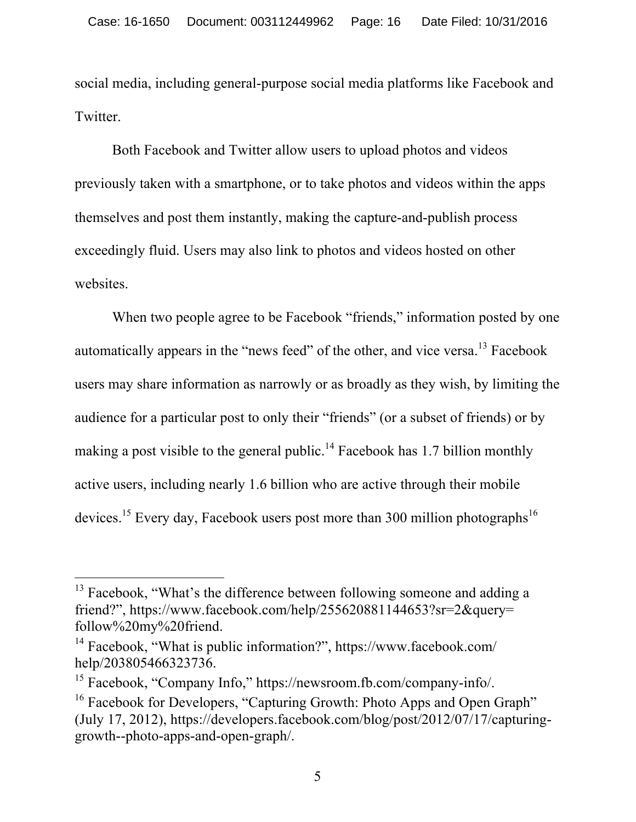social media, including general-purpose social media platforms like Facebook and Twitter.

Both Facebook and Twitter allow users to upload photos and videos previously taken with a smartphone, or to take photos and videos within the apps themselves and post them instantly, making the capture-and-publish process exceedingly fluid. Users may also link to photos and videos hosted on other websites.

When two people agree to be Facebook "friends," information posted by one automatically appears in the "news feed" of the other, and vice versa.<sup>13</sup> Facebook users may share information as narrowly or as broadly as they wish, by limiting the audience for a particular post to only their "friends" (or a subset of friends) or by making a post visible to the general public.<sup>14</sup> Facebook has 1.7 billion monthly active users, including nearly 1.6 billion who are active through their mobile devices.<sup>15</sup> Every day, Facebook users post more than 300 million photographs<sup>16</sup>

 $13$  Facebook, "What's the difference between following someone and adding a friend?", https://www.facebook.com/help/255620881144653?sr=2&query= follow%20my%20friend.

<sup>14</sup> Facebook, "What is public information?", https://www.facebook.com/ help/203805466323736.

<sup>15</sup> Facebook, "Company Info," https://newsroom.fb.com/company-info/.

<sup>&</sup>lt;sup>16</sup> Facebook for Developers, "Capturing Growth: Photo Apps and Open Graph" (July 17, 2012), https://developers.facebook.com/blog/post/2012/07/17/capturinggrowth--photo-apps-and-open-graph/.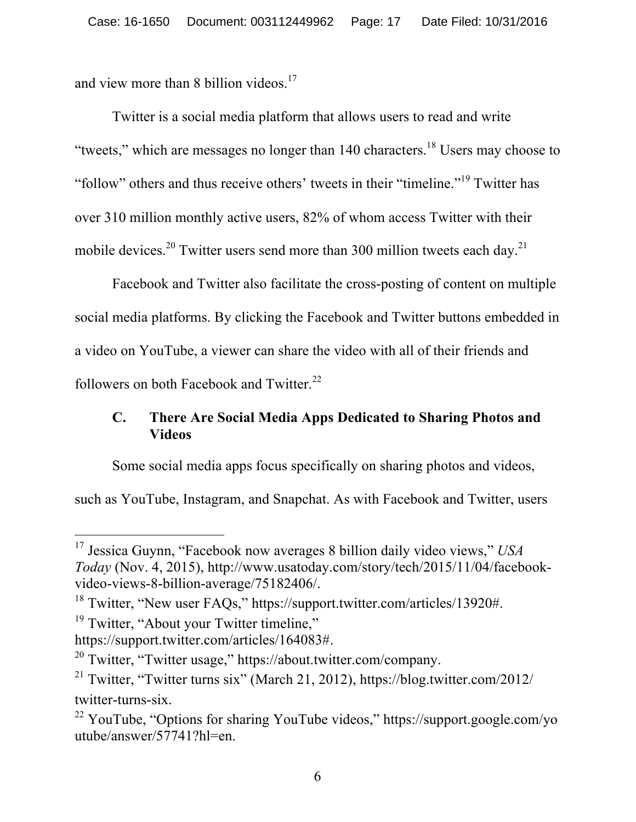and view more than 8 billion videos. $17$ 

Twitter is a social media platform that allows users to read and write "tweets," which are messages no longer than  $140$  characters.<sup>18</sup> Users may choose to "follow" others and thus receive others' tweets in their "timeline."<sup>19</sup> Twitter has over 310 million monthly active users, 82% of whom access Twitter with their mobile devices.<sup>20</sup> Twitter users send more than 300 million tweets each day.<sup>21</sup>

Facebook and Twitter also facilitate the cross-posting of content on multiple social media platforms. By clicking the Facebook and Twitter buttons embedded in a video on YouTube, a viewer can share the video with all of their friends and followers on both Facebook and Twitter.<sup>22</sup>

# **C. There Are Social Media Apps Dedicated to Sharing Photos and Videos**

Some social media apps focus specifically on sharing photos and videos,

such as YouTube, Instagram, and Snapchat. As with Facebook and Twitter, users

 $\overline{a}$ <sup>17</sup> Jessica Guynn, "Facebook now averages 8 billion daily video views," *USA Today* (Nov. 4, 2015), http://www.usatoday.com/story/tech/2015/11/04/facebookvideo-views-8-billion-average/75182406/.

<sup>&</sup>lt;sup>18</sup> Twitter, "New user FAQs," https://support.twitter.com/articles/13920#.

<sup>&</sup>lt;sup>19</sup> Twitter, "About your Twitter timeline,"

https://support.twitter.com/articles/164083#.

<sup>&</sup>lt;sup>20</sup> Twitter, "Twitter usage," https://about.twitter.com/company.

<sup>&</sup>lt;sup>21</sup> Twitter, "Twitter turns six" (March 21, 2012), https://blog.twitter.com/2012/ twitter-turns-six.

<sup>&</sup>lt;sup>22</sup> YouTube, "Options for sharing YouTube videos," https://support.google.com/yo utube/answer/57741?hl=en.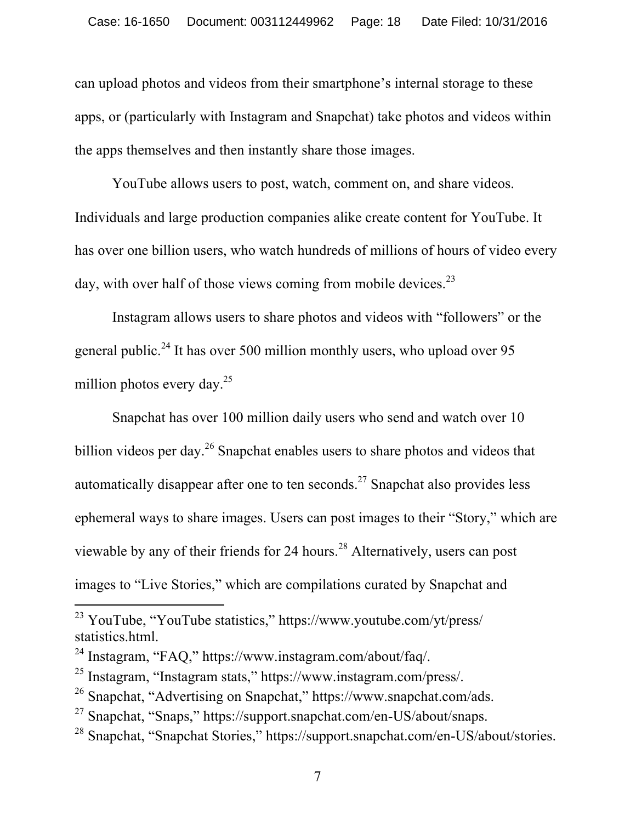can upload photos and videos from their smartphone's internal storage to these apps, or (particularly with Instagram and Snapchat) take photos and videos within the apps themselves and then instantly share those images.

YouTube allows users to post, watch, comment on, and share videos. Individuals and large production companies alike create content for YouTube. It has over one billion users, who watch hundreds of millions of hours of video every day, with over half of those views coming from mobile devices. $^{23}$ 

Instagram allows users to share photos and videos with "followers" or the general public.<sup>24</sup> It has over 500 million monthly users, who upload over 95 million photos every day. $25$ 

Snapchat has over 100 million daily users who send and watch over 10 billion videos per day.<sup>26</sup> Snapchat enables users to share photos and videos that automatically disappear after one to ten seconds.<sup>27</sup> Snapchat also provides less ephemeral ways to share images. Users can post images to their "Story," which are viewable by any of their friends for 24 hours.<sup>28</sup> Alternatively, users can post images to "Live Stories," which are compilations curated by Snapchat and

<sup>&</sup>lt;sup>23</sup> YouTube, "YouTube statistics," https://www.youtube.com/yt/press/ statistics.html.

<sup>24</sup> Instagram, "FAQ," https://www.instagram.com/about/faq/.

<sup>25</sup> Instagram, "Instagram stats," https://www.instagram.com/press/.

<sup>26</sup> Snapchat, "Advertising on Snapchat," https://www.snapchat.com/ads.

<sup>&</sup>lt;sup>27</sup> Snapchat, "Snaps," https://support.snapchat.com/en-US/about/snaps.

<sup>28</sup> Snapchat, "Snapchat Stories," https://support.snapchat.com/en-US/about/stories.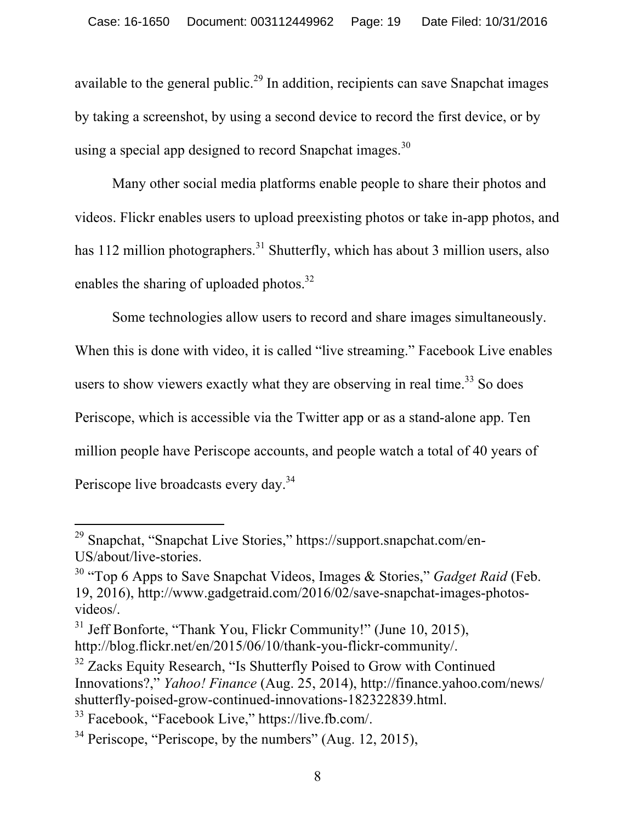available to the general public.<sup>29</sup> In addition, recipients can save Snapchat images by taking a screenshot, by using a second device to record the first device, or by using a special app designed to record Snapchat images.<sup>30</sup>

Many other social media platforms enable people to share their photos and videos. Flickr enables users to upload preexisting photos or take in-app photos, and has 112 million photographers.<sup>31</sup> Shutterfly, which has about 3 million users, also enables the sharing of uploaded photos.<sup>32</sup>

Some technologies allow users to record and share images simultaneously. When this is done with video, it is called "live streaming." Facebook Live enables users to show viewers exactly what they are observing in real time.<sup>33</sup> So does Periscope, which is accessible via the Twitter app or as a stand-alone app. Ten million people have Periscope accounts, and people watch a total of 40 years of Periscope live broadcasts every day.<sup>34</sup>

<sup>&</sup>lt;sup>29</sup> Snapchat, "Snapchat Live Stories," https://support.snapchat.com/en-US/about/live-stories.

<sup>30</sup> "Top 6 Apps to Save Snapchat Videos, Images & Stories," *Gadget Raid* (Feb. 19, 2016), http://www.gadgetraid.com/2016/02/save-snapchat-images-photosvideos/.

<sup>&</sup>lt;sup>31</sup> Jeff Bonforte, "Thank You, Flickr Community!" (June 10, 2015), http://blog.flickr.net/en/2015/06/10/thank-you-flickr-community/.

<sup>&</sup>lt;sup>32</sup> Zacks Equity Research, "Is Shutterfly Poised to Grow with Continued Innovations?," *Yahoo! Finance* (Aug. 25, 2014), http://finance.yahoo.com/news/ shutterfly-poised-grow-continued-innovations-182322839.html.

<sup>33</sup> Facebook, "Facebook Live," https://live.fb.com/.

 $34$  Periscope, "Periscope, by the numbers" (Aug. 12, 2015),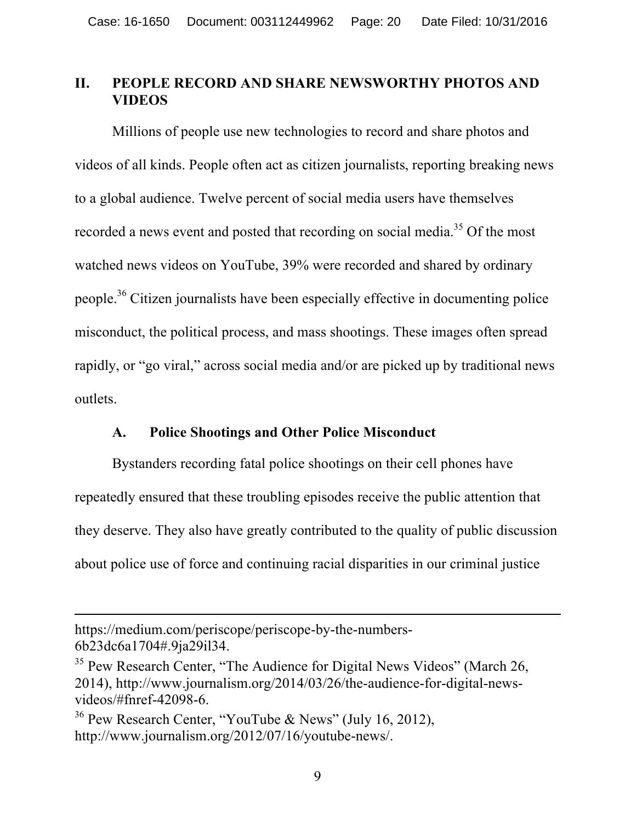# **II. PEOPLE RECORD AND SHARE NEWSWORTHY PHOTOS AND VIDEOS**

Millions of people use new technologies to record and share photos and videos of all kinds. People often act as citizen journalists, reporting breaking news to a global audience. Twelve percent of social media users have themselves recorded a news event and posted that recording on social media.<sup>35</sup> Of the most watched news videos on YouTube, 39% were recorded and shared by ordinary people.<sup>36</sup> Citizen journalists have been especially effective in documenting police misconduct, the political process, and mass shootings. These images often spread rapidly, or "go viral," across social media and/or are picked up by traditional news outlets.

### **A. Police Shootings and Other Police Misconduct**

Bystanders recording fatal police shootings on their cell phones have repeatedly ensured that these troubling episodes receive the public attention that they deserve. They also have greatly contributed to the quality of public discussion about police use of force and continuing racial disparities in our criminal justice

https://medium.com/periscope/periscope-by-the-numbers-6b23dc6a1704#.9ja29il34.

 $35$  Pew Research Center, "The Audience for Digital News Videos" (March 26, 2014), http://www.journalism.org/2014/03/26/the-audience-for-digital-newsvideos/#fnref-42098-6.

<sup>&</sup>lt;sup>36</sup> Pew Research Center, "YouTube & News" (July 16, 2012), http://www.journalism.org/2012/07/16/youtube-news/.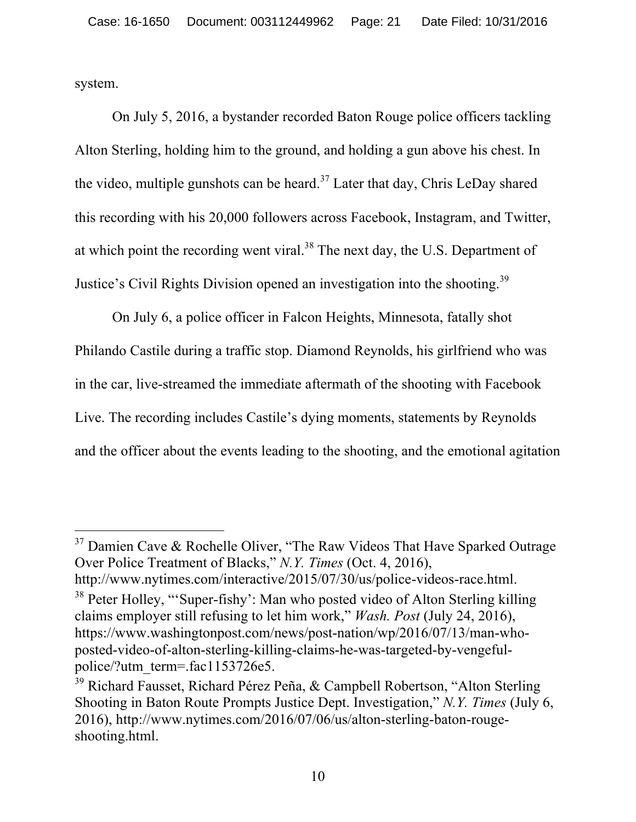system.

On July 5, 2016, a bystander recorded Baton Rouge police officers tackling Alton Sterling, holding him to the ground, and holding a gun above his chest. In the video, multiple gunshots can be heard.<sup>37</sup> Later that day, Chris LeDay shared this recording with his 20,000 followers across Facebook, Instagram, and Twitter, at which point the recording went viral.<sup>38</sup> The next day, the U.S. Department of Justice's Civil Rights Division opened an investigation into the shooting.<sup>39</sup>

On July 6, a police officer in Falcon Heights, Minnesota, fatally shot Philando Castile during a traffic stop. Diamond Reynolds, his girlfriend who was in the car, live-streamed the immediate aftermath of the shooting with Facebook Live. The recording includes Castile's dying moments, statements by Reynolds and the officer about the events leading to the shooting, and the emotional agitation

 $\overline{a}$  $37$  Damien Cave & Rochelle Oliver, "The Raw Videos That Have Sparked Outrage Over Police Treatment of Blacks," *N.Y. Times* (Oct. 4, 2016), http://www.nytimes.com/interactive/2015/07/30/us/police-videos-race.html.

<sup>&</sup>lt;sup>38</sup> Peter Holley, "'Super-fishy': Man who posted video of Alton Sterling killing claims employer still refusing to let him work," *Wash. Post* (July 24, 2016), https://www.washingtonpost.com/news/post-nation/wp/2016/07/13/man-whoposted-video-of-alton-sterling-killing-claims-he-was-targeted-by-vengefulpolice/?utm\_term=.fac1153726e5.

<sup>&</sup>lt;sup>39</sup> Richard Fausset, Richard Pérez Peña, & Campbell Robertson, "Alton Sterling Shooting in Baton Route Prompts Justice Dept. Investigation," *N.Y. Times* (July 6, 2016), http://www.nytimes.com/2016/07/06/us/alton-sterling-baton-rougeshooting.html.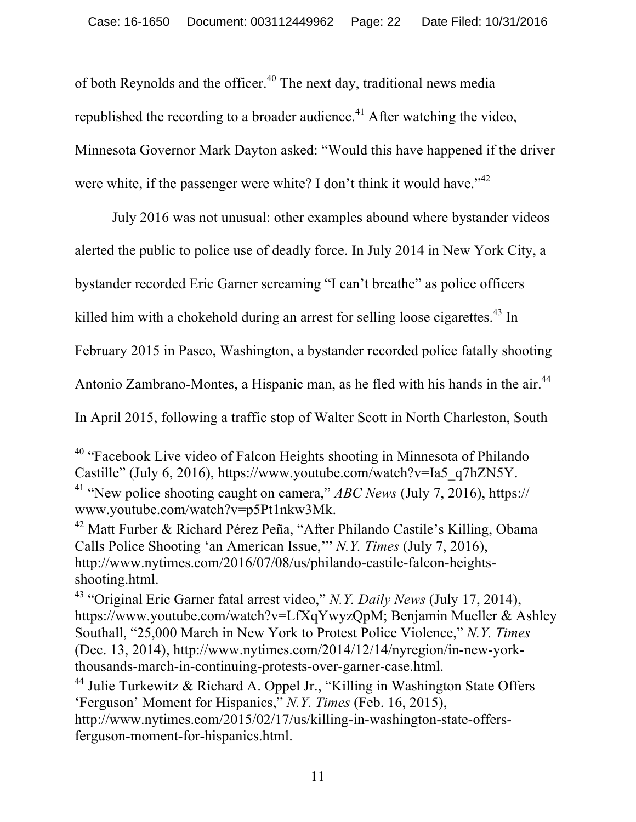of both Reynolds and the officer.<sup>40</sup> The next day, traditional news media republished the recording to a broader audience.<sup> $41$ </sup> After watching the video, Minnesota Governor Mark Dayton asked: "Would this have happened if the driver were white, if the passenger were white? I don't think it would have."<sup>42</sup>

July 2016 was not unusual: other examples abound where bystander videos

alerted the public to police use of deadly force. In July 2014 in New York City, a

bystander recorded Eric Garner screaming "I can't breathe" as police officers

killed him with a chokehold during an arrest for selling loose cigarettes.<sup>43</sup> In

February 2015 in Pasco, Washington, a bystander recorded police fatally shooting

Antonio Zambrano-Montes, a Hispanic man, as he fled with his hands in the air.<sup>44</sup>

In April 2015, following a traffic stop of Walter Scott in North Charleston, South

l

<sup>40</sup> "Facebook Live video of Falcon Heights shooting in Minnesota of Philando Castille" (July 6, 2016), https://www.youtube.com/watch?v=Ia5\_q7hZN5Y.

<sup>41</sup> "New police shooting caught on camera," *ABC News* (July 7, 2016), https:// www.youtube.com/watch?v=p5Pt1nkw3Mk.

<sup>42</sup> Matt Furber & Richard Pérez Peña, "After Philando Castile's Killing, Obama Calls Police Shooting 'an American Issue,'" *N.Y. Times* (July 7, 2016), http://www.nytimes.com/2016/07/08/us/philando-castile-falcon-heightsshooting.html.

<sup>43</sup> "Original Eric Garner fatal arrest video," *N.Y. Daily News* (July 17, 2014), https://www.youtube.com/watch?v=LfXqYwyzQpM; Benjamin Mueller & Ashley Southall, "25,000 March in New York to Protest Police Violence," *N.Y. Times*  (Dec. 13, 2014), http://www.nytimes.com/2014/12/14/nyregion/in-new-yorkthousands-march-in-continuing-protests-over-garner-case.html.

<sup>&</sup>lt;sup>44</sup> Julie Turkewitz & Richard A. Oppel Jr., "Killing in Washington State Offers" 'Ferguson' Moment for Hispanics," *N.Y. Times* (Feb. 16, 2015), http://www.nytimes.com/2015/02/17/us/killing-in-washington-state-offersferguson-moment-for-hispanics.html.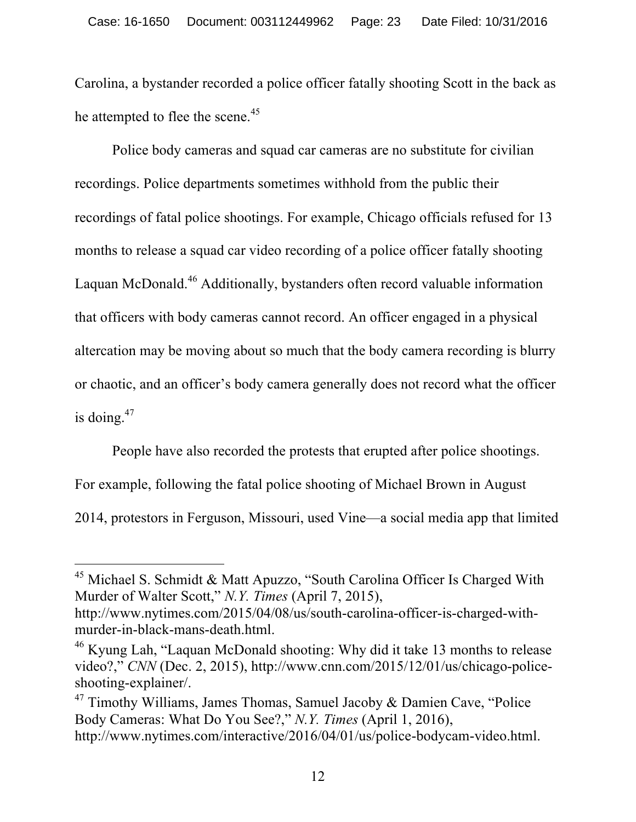Carolina, a bystander recorded a police officer fatally shooting Scott in the back as he attempted to flee the scene.<sup>45</sup>

Police body cameras and squad car cameras are no substitute for civilian recordings. Police departments sometimes withhold from the public their recordings of fatal police shootings. For example, Chicago officials refused for 13 months to release a squad car video recording of a police officer fatally shooting Laquan McDonald.<sup>46</sup> Additionally, bystanders often record valuable information that officers with body cameras cannot record. An officer engaged in a physical altercation may be moving about so much that the body camera recording is blurry or chaotic, and an officer's body camera generally does not record what the officer is doing. $47$ 

People have also recorded the protests that erupted after police shootings.

For example, following the fatal police shooting of Michael Brown in August

2014, protestors in Ferguson, Missouri, used Vine—a social media app that limited

 $45$  Michael S. Schmidt & Matt Apuzzo, "South Carolina Officer Is Charged With Murder of Walter Scott," *N.Y. Times* (April 7, 2015),

http://www.nytimes.com/2015/04/08/us/south-carolina-officer-is-charged-withmurder-in-black-mans-death.html.

<sup>46</sup> Kyung Lah, "Laquan McDonald shooting: Why did it take 13 months to release video?," *CNN* (Dec. 2, 2015), http://www.cnn.com/2015/12/01/us/chicago-policeshooting-explainer/.

 $47$  Timothy Williams, James Thomas, Samuel Jacoby & Damien Cave, "Police Body Cameras: What Do You See?," *N.Y. Times* (April 1, 2016), http://www.nytimes.com/interactive/2016/04/01/us/police-bodycam-video.html.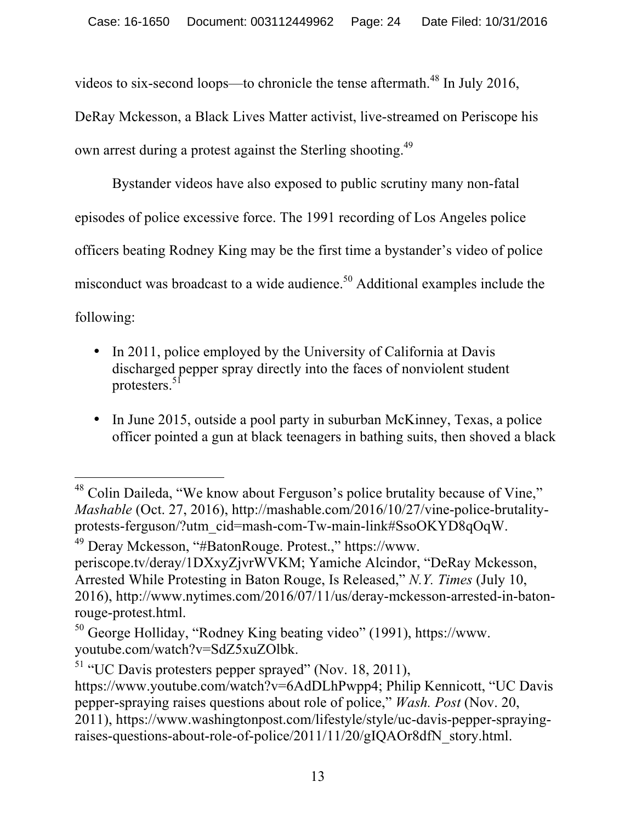videos to six-second loops—to chronicle the tense aftermath.<sup>48</sup> In July 2016,

DeRay Mckesson, a Black Lives Matter activist, live-streamed on Periscope his own arrest during a protest against the Sterling shooting.<sup>49</sup>

Bystander videos have also exposed to public scrutiny many non-fatal episodes of police excessive force. The 1991 recording of Los Angeles police officers beating Rodney King may be the first time a bystander's video of police misconduct was broadcast to a wide audience.<sup>50</sup> Additional examples include the following:

- In 2011, police employed by the University of California at Davis discharged pepper spray directly into the faces of nonviolent student protesters.<sup>51</sup>
- In June 2015, outside a pool party in suburban McKinney, Texas, a police officer pointed a gun at black teenagers in bathing suits, then shoved a black

<sup>49</sup> Deray Mckesson, "#BatonRouge. Protest.," https://www. periscope.tv/deray/1DXxyZjvrWVKM; Yamiche Alcindor, "DeRay Mckesson, Arrested While Protesting in Baton Rouge, Is Released," *N.Y. Times* (July 10, 2016), http://www.nytimes.com/2016/07/11/us/deray-mckesson-arrested-in-batonrouge-protest.html.

l  $48$  Colin Daileda, "We know about Ferguson's police brutality because of Vine," *Mashable* (Oct. 27, 2016), http://mashable.com/2016/10/27/vine-police-brutalityprotests-ferguson/?utm\_cid=mash-com-Tw-main-link#SsoOKYD8qOqW.

<sup>50</sup> George Holliday, "Rodney King beating video" (1991), https://www. youtube.com/watch?v=SdZ5xuZOlbk.

 $51$  "UC Davis protesters pepper sprayed" (Nov. 18, 2011),

https://www.youtube.com/watch?v=6AdDLhPwpp4; Philip Kennicott, "UC Davis pepper-spraying raises questions about role of police," *Wash. Post* (Nov. 20, 2011), https://www.washingtonpost.com/lifestyle/style/uc-davis-pepper-sprayingraises-questions-about-role-of-police/2011/11/20/gIQAOr8dfN\_story.html.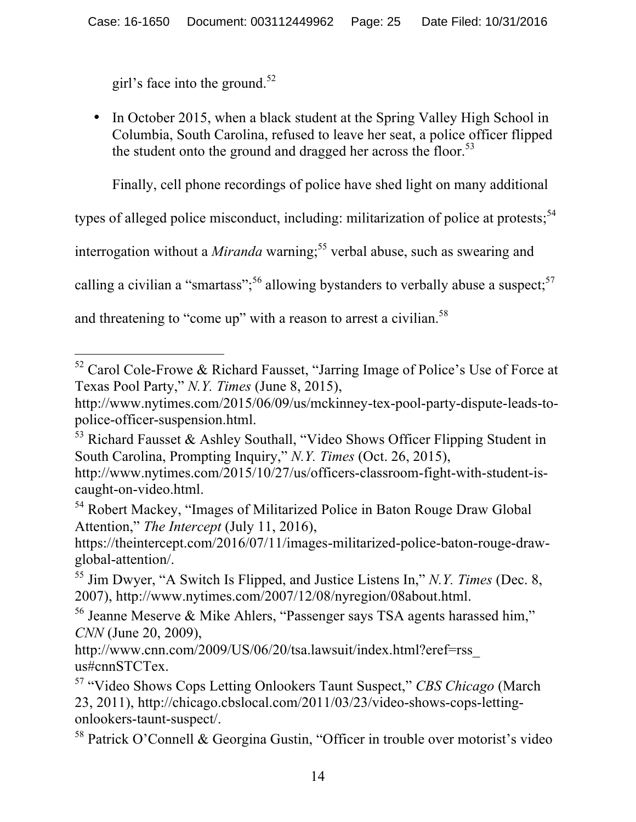girl's face into the ground.<sup>52</sup>

• In October 2015, when a black student at the Spring Valley High School in Columbia, South Carolina, refused to leave her seat, a police officer flipped the student onto the ground and dragged her across the floor.<sup>53</sup>

Finally, cell phone recordings of police have shed light on many additional

types of alleged police misconduct, including: militarization of police at protests;<sup>54</sup>

interrogation without a *Miranda* warning; <sup>55</sup> verbal abuse, such as swearing and

calling a civilian a "smartass";<sup>56</sup> allowing bystanders to verbally abuse a suspect;<sup>57</sup>

and threatening to "come up" with a reason to arrest a civilian.<sup>58</sup>

<sup>53</sup> Richard Fausset & Ashley Southall, "Video Shows Officer Flipping Student in South Carolina, Prompting Inquiry," *N.Y. Times* (Oct. 26, 2015),

<sup>54</sup> Robert Mackey, "Images of Militarized Police in Baton Rouge Draw Global Attention," *The Intercept* (July 11, 2016),

https://theintercept.com/2016/07/11/images-militarized-police-baton-rouge-drawglobal-attention/.

<sup>55</sup> Jim Dwyer, "A Switch Is Flipped, and Justice Listens In," *N.Y. Times* (Dec. 8, 2007), http://www.nytimes.com/2007/12/08/nyregion/08about.html.

<sup>56</sup> Jeanne Meserve & Mike Ahlers, "Passenger says TSA agents harassed him," *CNN* (June 20, 2009),

http://www.cnn.com/2009/US/06/20/tsa.lawsuit/index.html?eref=rss\_ us#cnnSTCTex.

 $\overline{a}$  $52$  Carol Cole-Frowe & Richard Fausset, "Jarring Image of Police's Use of Force at Texas Pool Party," *N.Y. Times* (June 8, 2015),

http://www.nytimes.com/2015/06/09/us/mckinney-tex-pool-party-dispute-leads-topolice-officer-suspension.html.

http://www.nytimes.com/2015/10/27/us/officers-classroom-fight-with-student-iscaught-on-video.html.

<sup>57</sup> "Video Shows Cops Letting Onlookers Taunt Suspect," *CBS Chicago* (March 23, 2011), http://chicago.cbslocal.com/2011/03/23/video-shows-cops-lettingonlookers-taunt-suspect/.

<sup>58</sup> Patrick O'Connell & Georgina Gustin, "Officer in trouble over motorist's video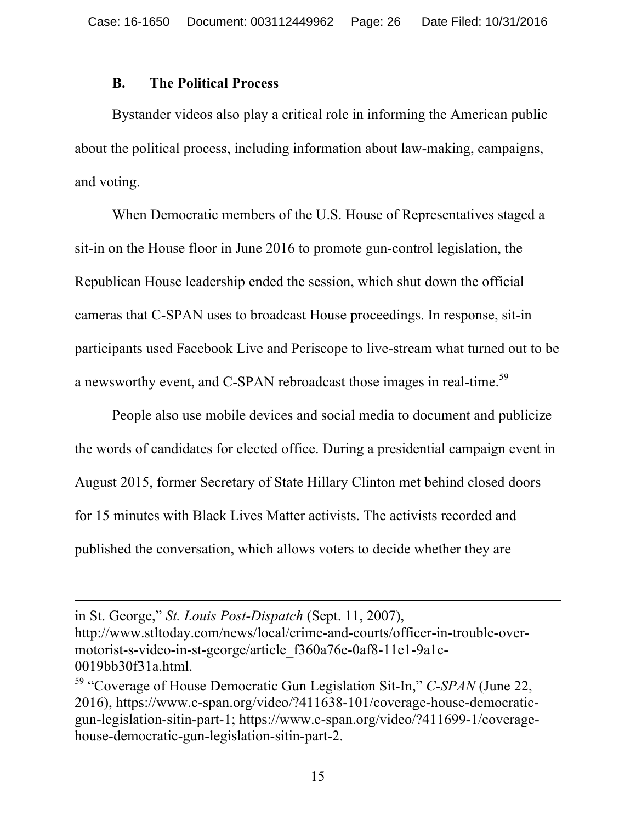#### **B. The Political Process**

 $\overline{a}$ 

Bystander videos also play a critical role in informing the American public about the political process, including information about law-making, campaigns, and voting.

When Democratic members of the U.S. House of Representatives staged a sit-in on the House floor in June 2016 to promote gun-control legislation, the Republican House leadership ended the session, which shut down the official cameras that C-SPAN uses to broadcast House proceedings. In response, sit-in participants used Facebook Live and Periscope to live-stream what turned out to be a newsworthy event, and C-SPAN rebroadcast those images in real-time.<sup>59</sup>

People also use mobile devices and social media to document and publicize the words of candidates for elected office. During a presidential campaign event in August 2015, former Secretary of State Hillary Clinton met behind closed doors for 15 minutes with Black Lives Matter activists. The activists recorded and published the conversation, which allows voters to decide whether they are

in St. George," *St. Louis Post-Dispatch* (Sept. 11, 2007), http://www.stltoday.com/news/local/crime-and-courts/officer-in-trouble-overmotorist-s-video-in-st-george/article\_f360a76e-0af8-11e1-9a1c-0019bb30f31a.html.

<sup>59</sup> "Coverage of House Democratic Gun Legislation Sit-In," *C-SPAN* (June 22, 2016), https://www.c-span.org/video/?411638-101/coverage-house-democraticgun-legislation-sitin-part-1; https://www.c-span.org/video/?411699-1/coveragehouse-democratic-gun-legislation-sitin-part-2.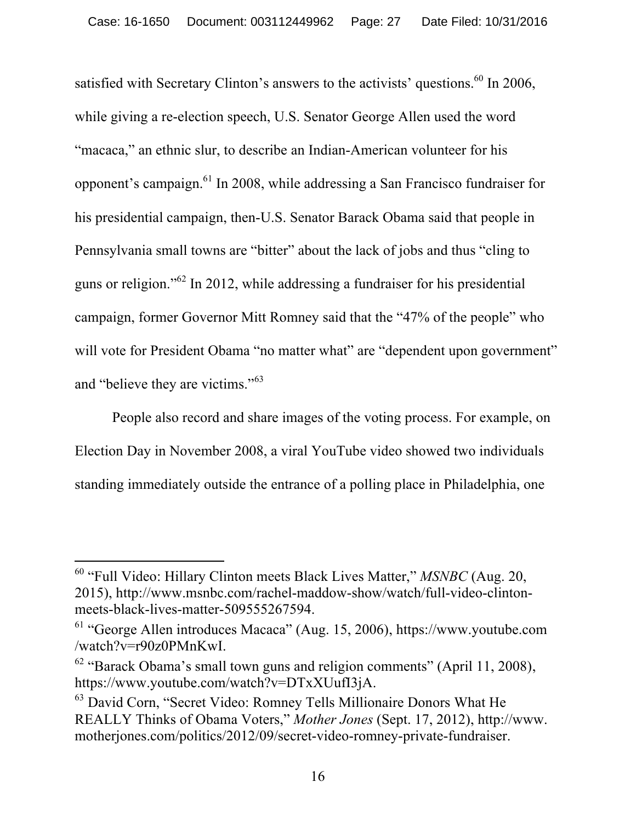satisfied with Secretary Clinton's answers to the activists' questions.<sup>60</sup> In 2006, while giving a re-election speech, U.S. Senator George Allen used the word "macaca," an ethnic slur, to describe an Indian-American volunteer for his opponent's campaign.<sup>61</sup> In 2008, while addressing a San Francisco fundraiser for his presidential campaign, then-U.S. Senator Barack Obama said that people in Pennsylvania small towns are "bitter" about the lack of jobs and thus "cling to guns or religion."<sup>62</sup> In 2012, while addressing a fundraiser for his presidential campaign, former Governor Mitt Romney said that the "47% of the people" who will vote for President Obama "no matter what" are "dependent upon government" and "believe they are victims."<sup>63</sup>

People also record and share images of the voting process. For example, on Election Day in November 2008, a viral YouTube video showed two individuals standing immediately outside the entrance of a polling place in Philadelphia, one

<sup>60</sup> "Full Video: Hillary Clinton meets Black Lives Matter," *MSNBC* (Aug. 20, 2015), http://www.msnbc.com/rachel-maddow-show/watch/full-video-clintonmeets-black-lives-matter-509555267594.

<sup>61</sup> "George Allen introduces Macaca" (Aug. 15, 2006), https://www.youtube.com /watch?v=r90z0PMnKwI.

 $62$  "Barack Obama's small town guns and religion comments" (April 11, 2008), https://www.youtube.com/watch?v=DTxXUufI3jA.

<sup>&</sup>lt;sup>63</sup> David Corn, "Secret Video: Romney Tells Millionaire Donors What He REALLY Thinks of Obama Voters," *Mother Jones* (Sept. 17, 2012), http://www. motherjones.com/politics/2012/09/secret-video-romney-private-fundraiser.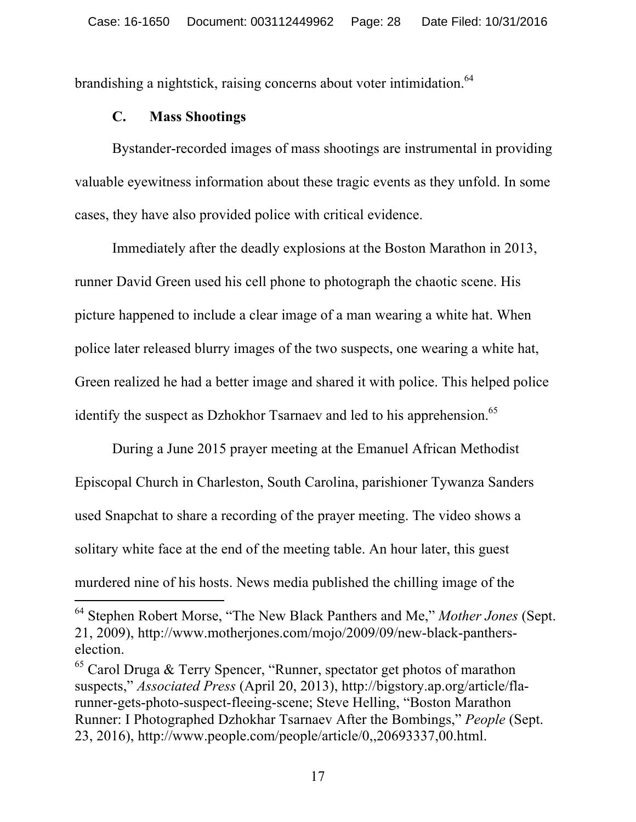brandishing a nightstick, raising concerns about voter intimidation.<sup>64</sup>

#### **C. Mass Shootings**

 $\overline{a}$ 

Bystander-recorded images of mass shootings are instrumental in providing valuable eyewitness information about these tragic events as they unfold. In some cases, they have also provided police with critical evidence.

Immediately after the deadly explosions at the Boston Marathon in 2013, runner David Green used his cell phone to photograph the chaotic scene. His picture happened to include a clear image of a man wearing a white hat. When police later released blurry images of the two suspects, one wearing a white hat, Green realized he had a better image and shared it with police. This helped police identify the suspect as Dzhokhor Tsarnaev and led to his apprehension.<sup>65</sup>

During a June 2015 prayer meeting at the Emanuel African Methodist Episcopal Church in Charleston, South Carolina, parishioner Tywanza Sanders used Snapchat to share a recording of the prayer meeting. The video shows a solitary white face at the end of the meeting table. An hour later, this guest murdered nine of his hosts. News media published the chilling image of the

<sup>64</sup> Stephen Robert Morse, "The New Black Panthers and Me," *Mother Jones* (Sept. 21, 2009), http://www.motherjones.com/mojo/2009/09/new-black-pantherselection.

<sup>&</sup>lt;sup>65</sup> Carol Druga & Terry Spencer, "Runner, spectator get photos of marathon suspects," *Associated Press* (April 20, 2013), http://bigstory.ap.org/article/flarunner-gets-photo-suspect-fleeing-scene; Steve Helling, "Boston Marathon Runner: I Photographed Dzhokhar Tsarnaev After the Bombings," *People* (Sept. 23, 2016), http://www.people.com/people/article/0,,20693337,00.html.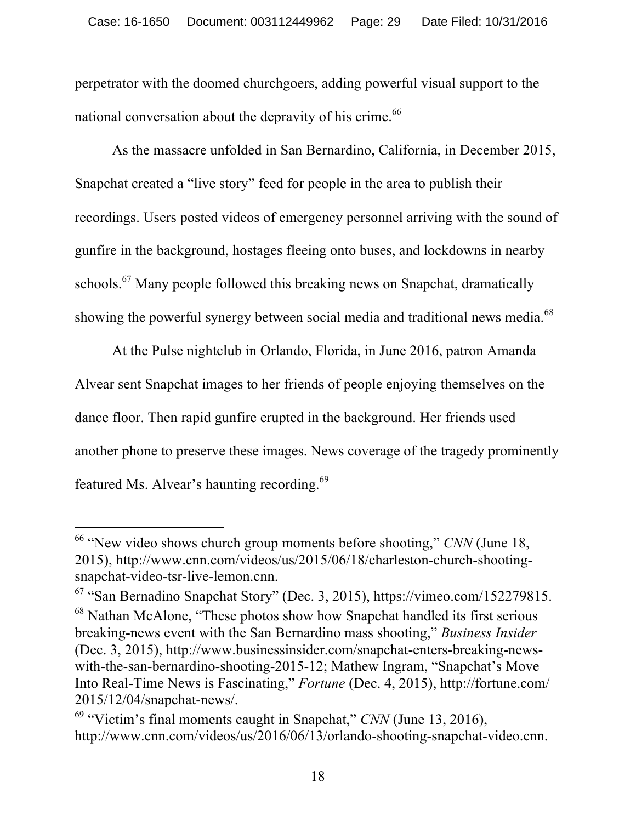perpetrator with the doomed churchgoers, adding powerful visual support to the national conversation about the depravity of his crime.<sup>66</sup>

As the massacre unfolded in San Bernardino, California, in December 2015, Snapchat created a "live story" feed for people in the area to publish their recordings. Users posted videos of emergency personnel arriving with the sound of gunfire in the background, hostages fleeing onto buses, and lockdowns in nearby schools.<sup>67</sup> Many people followed this breaking news on Snapchat, dramatically showing the powerful synergy between social media and traditional news media.<sup>68</sup>

At the Pulse nightclub in Orlando, Florida, in June 2016, patron Amanda Alvear sent Snapchat images to her friends of people enjoying themselves on the dance floor. Then rapid gunfire erupted in the background. Her friends used another phone to preserve these images. News coverage of the tragedy prominently featured Ms. Alvear's haunting recording.<sup>69</sup>

<sup>&</sup>lt;sup>66</sup> "New video shows church group moments before shooting," *CNN* (June 18, 2015), http://www.cnn.com/videos/us/2015/06/18/charleston-church-shootingsnapchat-video-tsr-live-lemon.cnn.

<sup>67</sup> "San Bernadino Snapchat Story" (Dec. 3, 2015), https://vimeo.com/152279815. <sup>68</sup> Nathan McAlone, "These photos show how Snapchat handled its first serious breaking-news event with the San Bernardino mass shooting," *Business Insider*  (Dec. 3, 2015), http://www.businessinsider.com/snapchat-enters-breaking-newswith-the-san-bernardino-shooting-2015-12; Mathew Ingram, "Snapchat's Move Into Real-Time News is Fascinating," *Fortune* (Dec. 4, 2015), http://fortune.com/ 2015/12/04/snapchat-news/.

<sup>69</sup> "Victim's final moments caught in Snapchat," *CNN* (June 13, 2016), http://www.cnn.com/videos/us/2016/06/13/orlando-shooting-snapchat-video.cnn.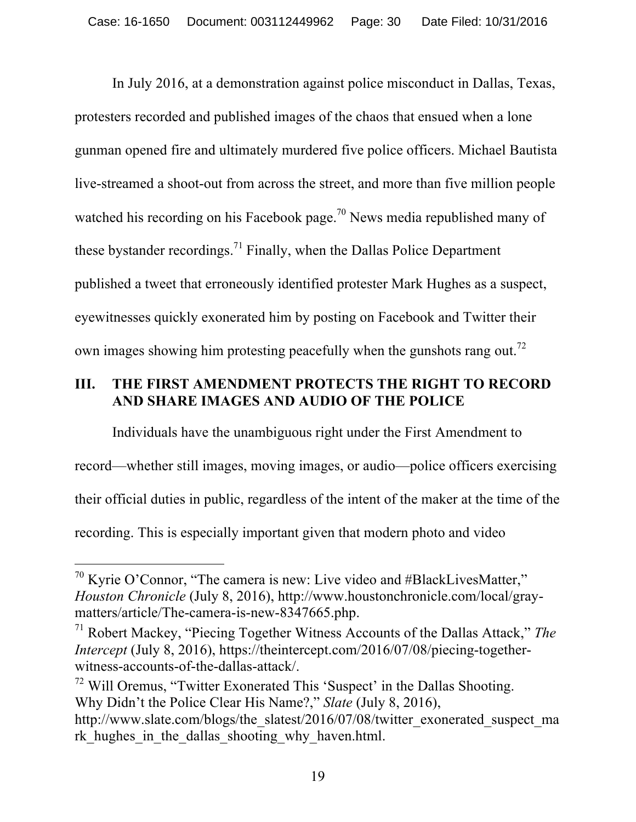In July 2016, at a demonstration against police misconduct in Dallas, Texas, protesters recorded and published images of the chaos that ensued when a lone gunman opened fire and ultimately murdered five police officers. Michael Bautista live-streamed a shoot-out from across the street, and more than five million people watched his recording on his Facebook page.<sup>70</sup> News media republished many of these bystander recordings.<sup>71</sup> Finally, when the Dallas Police Department published a tweet that erroneously identified protester Mark Hughes as a suspect, eyewitnesses quickly exonerated him by posting on Facebook and Twitter their own images showing him protesting peacefully when the gunshots rang out.<sup>72</sup>

# **III. THE FIRST AMENDMENT PROTECTS THE RIGHT TO RECORD AND SHARE IMAGES AND AUDIO OF THE POLICE**

Individuals have the unambiguous right under the First Amendment to record—whether still images, moving images, or audio—police officers exercising their official duties in public, regardless of the intent of the maker at the time of the recording. This is especially important given that modern photo and video

 $\overline{a}$ 

 $72$  Will Oremus, "Twitter Exonerated This 'Suspect' in the Dallas Shooting. Why Didn't the Police Clear His Name?," *Slate* (July 8, 2016), http://www.slate.com/blogs/the\_slatest/2016/07/08/twitter\_exonerated\_suspect\_ma rk hughes in the dallas shooting why haven.html.

 $70$  Kyrie O'Connor, "The camera is new: Live video and #BlackLivesMatter," *Houston Chronicle* (July 8, 2016), http://www.houstonchronicle.com/local/graymatters/article/The-camera-is-new-8347665.php.<br><sup>71</sup> Robert Mackey, "Piecing Together Witness Accounts of the Dallas Attack," *The* 

*Intercept* (July 8, 2016), https://theintercept.com/2016/07/08/piecing-togetherwitness-accounts-of-the-dallas-attack/.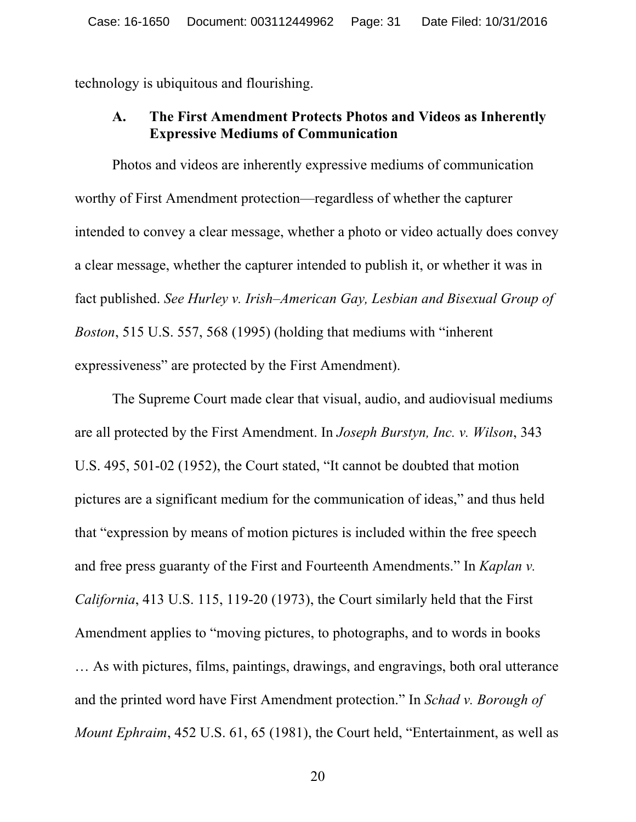technology is ubiquitous and flourishing.

### **A. The First Amendment Protects Photos and Videos as Inherently Expressive Mediums of Communication**

Photos and videos are inherently expressive mediums of communication worthy of First Amendment protection—regardless of whether the capturer intended to convey a clear message, whether a photo or video actually does convey a clear message, whether the capturer intended to publish it, or whether it was in fact published. *See Hurley v. Irish–American Gay, Lesbian and Bisexual Group of Boston*, 515 U.S. 557, 568 (1995) (holding that mediums with "inherent expressiveness" are protected by the First Amendment).

The Supreme Court made clear that visual, audio, and audiovisual mediums are all protected by the First Amendment. In *Joseph Burstyn, Inc. v. Wilson*, 343 U.S. 495, 501-02 (1952), the Court stated, "It cannot be doubted that motion pictures are a significant medium for the communication of ideas," and thus held that "expression by means of motion pictures is included within the free speech and free press guaranty of the First and Fourteenth Amendments." In *Kaplan v. California*, 413 U.S. 115, 119-20 (1973), the Court similarly held that the First Amendment applies to "moving pictures, to photographs, and to words in books … As with pictures, films, paintings, drawings, and engravings, both oral utterance and the printed word have First Amendment protection." In *Schad v. Borough of Mount Ephraim*, 452 U.S. 61, 65 (1981), the Court held, "Entertainment, as well as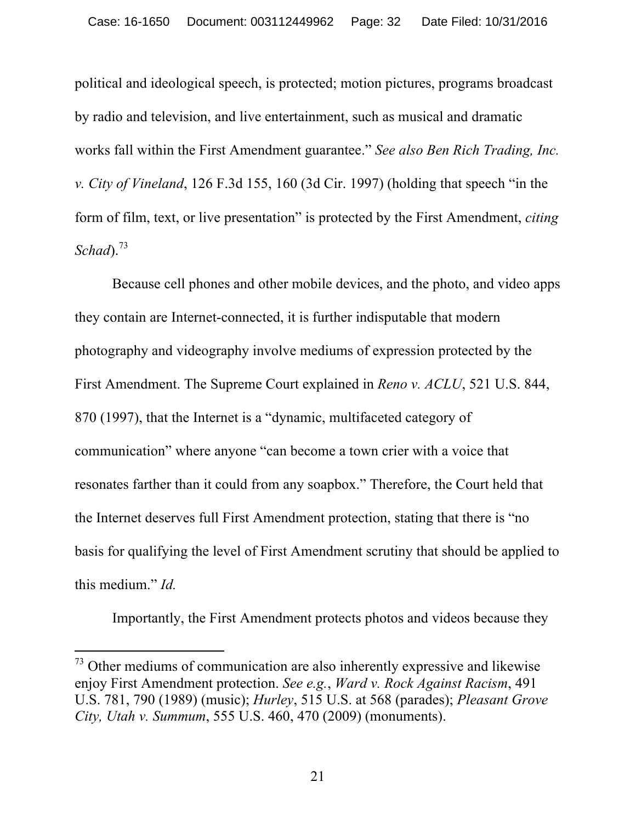political and ideological speech, is protected; motion pictures, programs broadcast by radio and television, and live entertainment, such as musical and dramatic works fall within the First Amendment guarantee." *See also Ben Rich Trading, Inc. v. City of Vineland*, 126 F.3d 155, 160 (3d Cir. 1997) (holding that speech "in the form of film, text, or live presentation" is protected by the First Amendment, *citing Schad*). 73

Because cell phones and other mobile devices, and the photo, and video apps they contain are Internet-connected, it is further indisputable that modern photography and videography involve mediums of expression protected by the First Amendment. The Supreme Court explained in *Reno v. ACLU*, 521 U.S. 844, 870 (1997), that the Internet is a "dynamic, multifaceted category of communication" where anyone "can become a town crier with a voice that resonates farther than it could from any soapbox." Therefore, the Court held that the Internet deserves full First Amendment protection, stating that there is "no basis for qualifying the level of First Amendment scrutiny that should be applied to this medium." *Id.*

Importantly, the First Amendment protects photos and videos because they

 $73$  Other mediums of communication are also inherently expressive and likewise enjoy First Amendment protection. *See e.g.*, *Ward v. Rock Against Racism*, 491 U.S. 781, 790 (1989) (music); *Hurley*, 515 U.S. at 568 (parades); *Pleasant Grove City, Utah v. Summum*, 555 U.S. 460, 470 (2009) (monuments).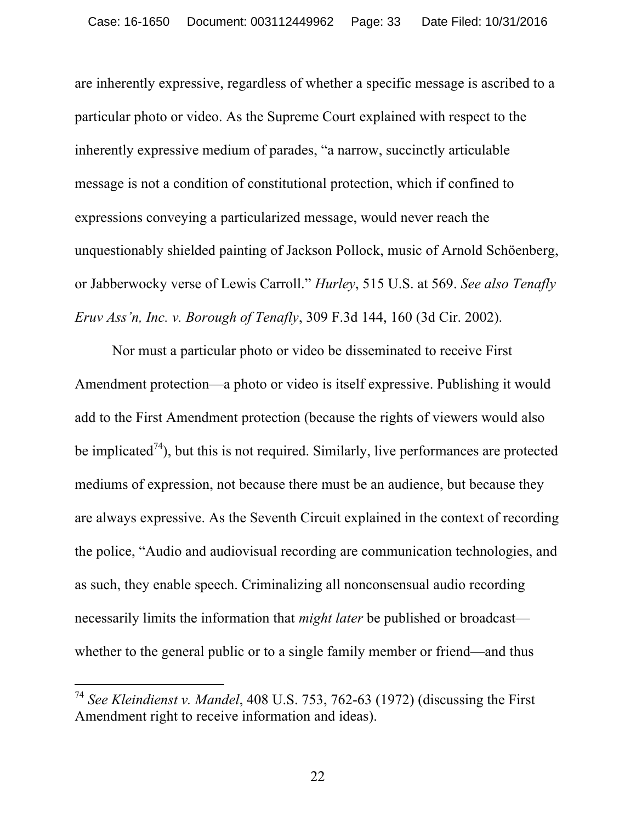are inherently expressive, regardless of whether a specific message is ascribed to a particular photo or video. As the Supreme Court explained with respect to the inherently expressive medium of parades, "a narrow, succinctly articulable message is not a condition of constitutional protection, which if confined to expressions conveying a particularized message, would never reach the unquestionably shielded painting of Jackson Pollock, music of Arnold Schöenberg, or Jabberwocky verse of Lewis Carroll." *Hurley*, 515 U.S. at 569. *See also Tenafly Eruv Ass'n, Inc. v. Borough of Tenafly*, 309 F.3d 144, 160 (3d Cir. 2002).

Nor must a particular photo or video be disseminated to receive First Amendment protection—a photo or video is itself expressive. Publishing it would add to the First Amendment protection (because the rights of viewers would also be implicated<sup> $74$ </sup>), but this is not required. Similarly, live performances are protected mediums of expression, not because there must be an audience, but because they are always expressive. As the Seventh Circuit explained in the context of recording the police, "Audio and audiovisual recording are communication technologies, and as such, they enable speech. Criminalizing all nonconsensual audio recording necessarily limits the information that *might later* be published or broadcast whether to the general public or to a single family member or friend—and thus

 $\overline{a}$ 

22

<sup>74</sup> *See Kleindienst v. Mandel*, 408 U.S. 753, 762-63 (1972) (discussing the First Amendment right to receive information and ideas).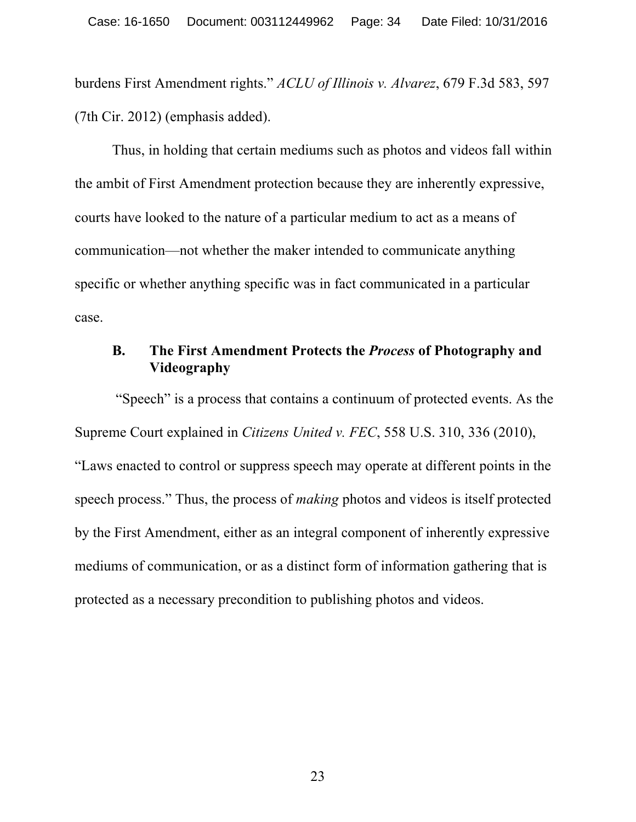burdens First Amendment rights." *ACLU of Illinois v. Alvarez*, 679 F.3d 583, 597 (7th Cir. 2012) (emphasis added).

Thus, in holding that certain mediums such as photos and videos fall within the ambit of First Amendment protection because they are inherently expressive, courts have looked to the nature of a particular medium to act as a means of communication—not whether the maker intended to communicate anything specific or whether anything specific was in fact communicated in a particular case.

# **B. The First Amendment Protects the** *Process* **of Photography and Videography**

"Speech" is a process that contains a continuum of protected events. As the Supreme Court explained in *Citizens United v. FEC*, 558 U.S. 310, 336 (2010),

"Laws enacted to control or suppress speech may operate at different points in the speech process." Thus, the process of *making* photos and videos is itself protected by the First Amendment, either as an integral component of inherently expressive mediums of communication, or as a distinct form of information gathering that is protected as a necessary precondition to publishing photos and videos.

23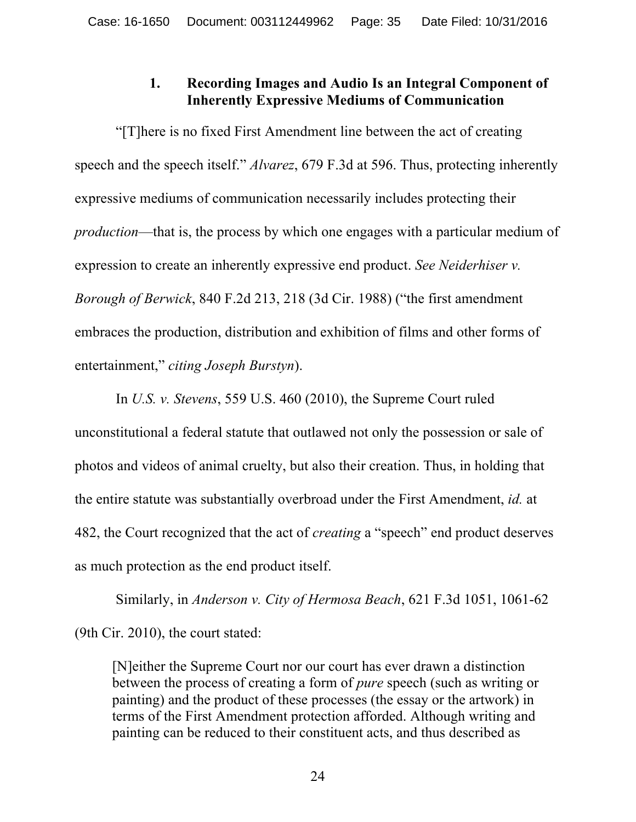# **1. Recording Images and Audio Is an Integral Component of Inherently Expressive Mediums of Communication**

"[T]here is no fixed First Amendment line between the act of creating speech and the speech itself." *Alvarez*, 679 F.3d at 596. Thus, protecting inherently expressive mediums of communication necessarily includes protecting their *production*—that is, the process by which one engages with a particular medium of expression to create an inherently expressive end product. *See Neiderhiser v. Borough of Berwick*, 840 F.2d 213, 218 (3d Cir. 1988) ("the first amendment embraces the production, distribution and exhibition of films and other forms of entertainment," *citing Joseph Burstyn*).

In *U.S. v. Stevens*, 559 U.S. 460 (2010), the Supreme Court ruled unconstitutional a federal statute that outlawed not only the possession or sale of photos and videos of animal cruelty, but also their creation. Thus, in holding that the entire statute was substantially overbroad under the First Amendment, *id.* at 482, the Court recognized that the act of *creating* a "speech" end product deserves as much protection as the end product itself.

Similarly, in *Anderson v. City of Hermosa Beach*, 621 F.3d 1051, 1061-62 (9th Cir. 2010), the court stated:

[N]either the Supreme Court nor our court has ever drawn a distinction between the process of creating a form of *pure* speech (such as writing or painting) and the product of these processes (the essay or the artwork) in terms of the First Amendment protection afforded. Although writing and painting can be reduced to their constituent acts, and thus described as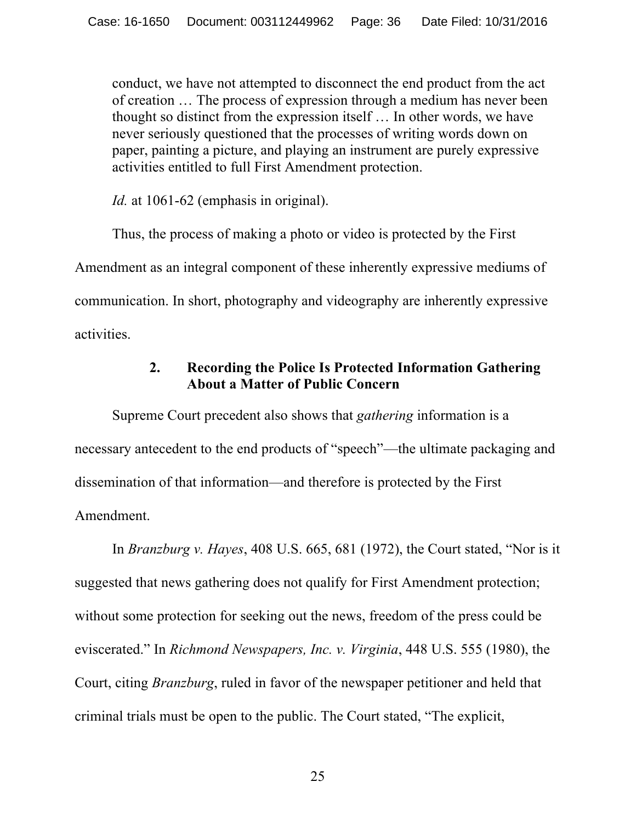conduct, we have not attempted to disconnect the end product from the act of creation … The process of expression through a medium has never been thought so distinct from the expression itself … In other words, we have never seriously questioned that the processes of writing words down on paper, painting a picture, and playing an instrument are purely expressive activities entitled to full First Amendment protection.

*Id.* at 1061-62 (emphasis in original).

Thus, the process of making a photo or video is protected by the First Amendment as an integral component of these inherently expressive mediums of communication. In short, photography and videography are inherently expressive activities.

# **2. Recording the Police Is Protected Information Gathering About a Matter of Public Concern**

Supreme Court precedent also shows that *gathering* information is a necessary antecedent to the end products of "speech"—the ultimate packaging and dissemination of that information—and therefore is protected by the First Amendment.

In *Branzburg v. Hayes*, 408 U.S. 665, 681 (1972), the Court stated, "Nor is it suggested that news gathering does not qualify for First Amendment protection; without some protection for seeking out the news, freedom of the press could be eviscerated." In *Richmond Newspapers, Inc. v. Virginia*, 448 U.S. 555 (1980), the Court, citing *Branzburg*, ruled in favor of the newspaper petitioner and held that criminal trials must be open to the public. The Court stated, "The explicit,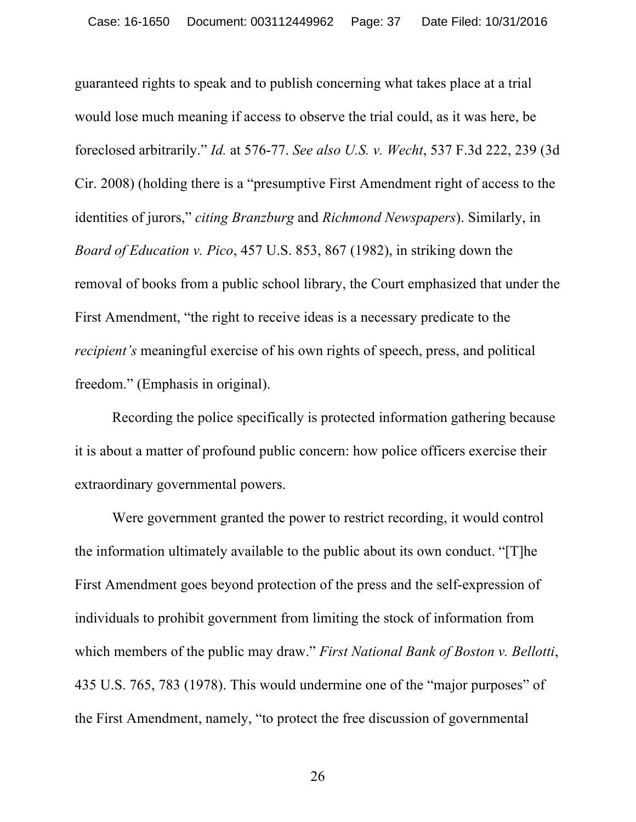guaranteed rights to speak and to publish concerning what takes place at a trial would lose much meaning if access to observe the trial could, as it was here, be foreclosed arbitrarily." *Id.* at 576-77. *See also U.S. v. Wecht*, 537 F.3d 222, 239 (3d Cir. 2008) (holding there is a "presumptive First Amendment right of access to the identities of jurors," *citing Branzburg* and *Richmond Newspapers*). Similarly, in *Board of Education v. Pico*, 457 U.S. 853, 867 (1982), in striking down the removal of books from a public school library, the Court emphasized that under the First Amendment, "the right to receive ideas is a necessary predicate to the *recipient's* meaningful exercise of his own rights of speech, press, and political freedom." (Emphasis in original).

Recording the police specifically is protected information gathering because it is about a matter of profound public concern: how police officers exercise their extraordinary governmental powers.

Were government granted the power to restrict recording, it would control the information ultimately available to the public about its own conduct. "[T]he First Amendment goes beyond protection of the press and the self-expression of individuals to prohibit government from limiting the stock of information from which members of the public may draw." *First National Bank of Boston v. Bellotti*, 435 U.S. 765, 783 (1978). This would undermine one of the "major purposes" of the First Amendment, namely, "to protect the free discussion of governmental

26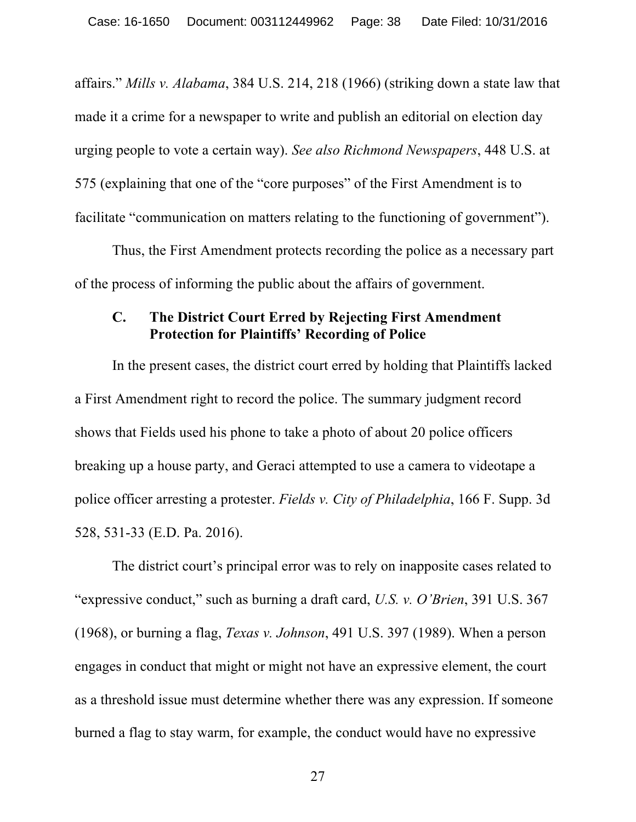affairs." *Mills v. Alabama*, 384 U.S. 214, 218 (1966) (striking down a state law that made it a crime for a newspaper to write and publish an editorial on election day urging people to vote a certain way). *See also Richmond Newspapers*, 448 U.S. at 575 (explaining that one of the "core purposes" of the First Amendment is to facilitate "communication on matters relating to the functioning of government").

Thus, the First Amendment protects recording the police as a necessary part of the process of informing the public about the affairs of government.

#### **C. The District Court Erred by Rejecting First Amendment Protection for Plaintiffs' Recording of Police**

In the present cases, the district court erred by holding that Plaintiffs lacked a First Amendment right to record the police. The summary judgment record shows that Fields used his phone to take a photo of about 20 police officers breaking up a house party, and Geraci attempted to use a camera to videotape a police officer arresting a protester. *Fields v. City of Philadelphia*, 166 F. Supp. 3d 528, 531-33 (E.D. Pa. 2016).

The district court's principal error was to rely on inapposite cases related to "expressive conduct," such as burning a draft card, *U.S. v. O'Brien*, 391 U.S. 367 (1968), or burning a flag, *Texas v. Johnson*, 491 U.S. 397 (1989). When a person engages in conduct that might or might not have an expressive element, the court as a threshold issue must determine whether there was any expression. If someone burned a flag to stay warm, for example, the conduct would have no expressive

27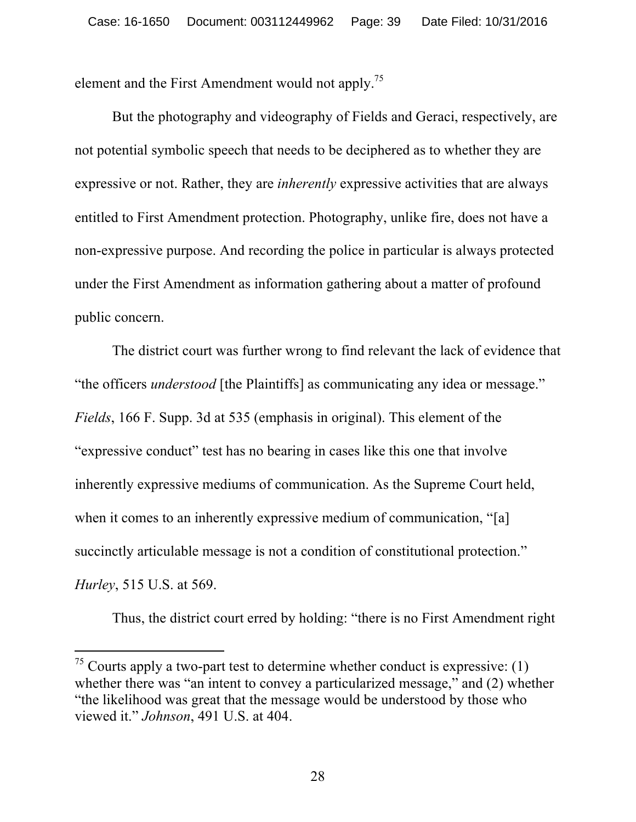element and the First Amendment would not apply.<sup>75</sup>

But the photography and videography of Fields and Geraci, respectively, are not potential symbolic speech that needs to be deciphered as to whether they are expressive or not. Rather, they are *inherently* expressive activities that are always entitled to First Amendment protection. Photography, unlike fire, does not have a non-expressive purpose. And recording the police in particular is always protected under the First Amendment as information gathering about a matter of profound public concern.

The district court was further wrong to find relevant the lack of evidence that "the officers *understood* [the Plaintiffs] as communicating any idea or message." *Fields*, 166 F. Supp. 3d at 535 (emphasis in original). This element of the "expressive conduct" test has no bearing in cases like this one that involve inherently expressive mediums of communication. As the Supreme Court held, when it comes to an inherently expressive medium of communication, "[a] succinctly articulable message is not a condition of constitutional protection." *Hurley*, 515 U.S. at 569.

Thus, the district court erred by holding: "there is no First Amendment right

 $75$  Courts apply a two-part test to determine whether conduct is expressive: (1) whether there was "an intent to convey a particularized message," and (2) whether "the likelihood was great that the message would be understood by those who viewed it." *Johnson*, 491 U.S. at 404.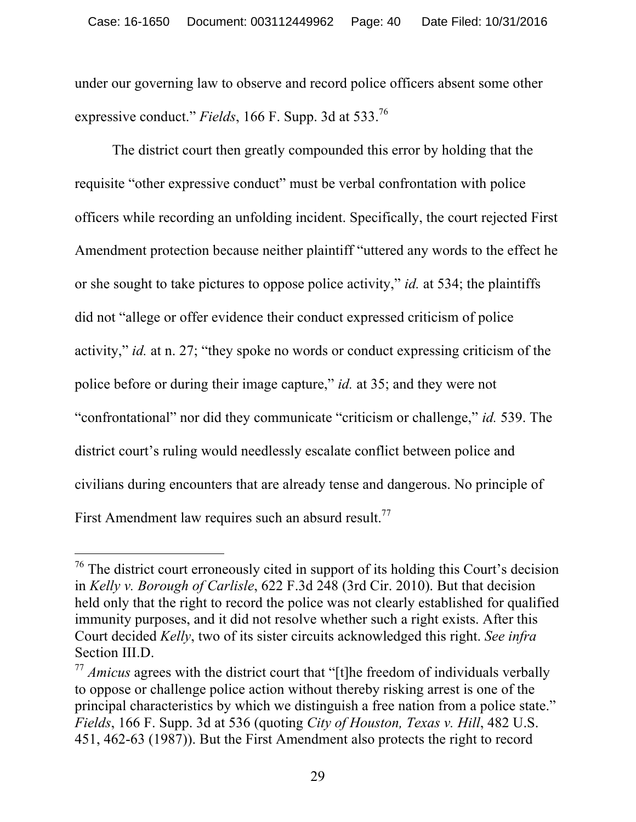under our governing law to observe and record police officers absent some other expressive conduct." *Fields*, 166 F. Supp. 3d at 533.<sup>76</sup>

The district court then greatly compounded this error by holding that the requisite "other expressive conduct" must be verbal confrontation with police officers while recording an unfolding incident. Specifically, the court rejected First Amendment protection because neither plaintiff "uttered any words to the effect he or she sought to take pictures to oppose police activity," *id.* at 534; the plaintiffs did not "allege or offer evidence their conduct expressed criticism of police activity," *id.* at n. 27; "they spoke no words or conduct expressing criticism of the police before or during their image capture," *id.* at 35; and they were not "confrontational" nor did they communicate "criticism or challenge," *id.* 539. The district court's ruling would needlessly escalate conflict between police and civilians during encounters that are already tense and dangerous. No principle of First Amendment law requires such an absurd result.<sup>77</sup>

 $76$  The district court erroneously cited in support of its holding this Court's decision in *Kelly v. Borough of Carlisle*, 622 F.3d 248 (3rd Cir. 2010). But that decision held only that the right to record the police was not clearly established for qualified immunity purposes, and it did not resolve whether such a right exists. After this Court decided *Kelly*, two of its sister circuits acknowledged this right. *See infra*  Section III.D.

<sup>&</sup>lt;sup>77</sup> *Amicus* agrees with the district court that "[t]he freedom of individuals verbally to oppose or challenge police action without thereby risking arrest is one of the principal characteristics by which we distinguish a free nation from a police state." *Fields*, 166 F. Supp. 3d at 536 (quoting *City of Houston, Texas v. Hill*, 482 U.S. 451, 462-63 (1987)). But the First Amendment also protects the right to record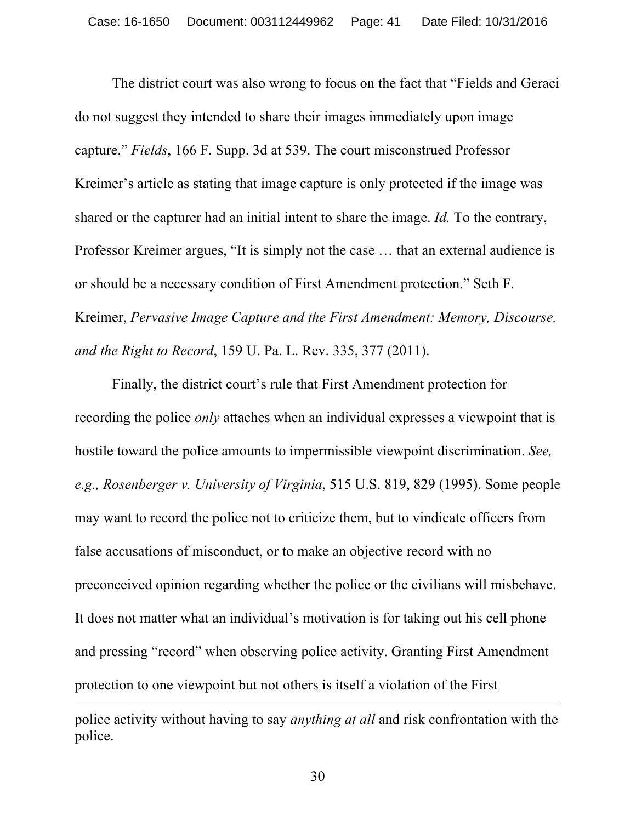The district court was also wrong to focus on the fact that "Fields and Geraci do not suggest they intended to share their images immediately upon image capture." *Fields*, 166 F. Supp. 3d at 539. The court misconstrued Professor Kreimer's article as stating that image capture is only protected if the image was shared or the capturer had an initial intent to share the image. *Id.* To the contrary, Professor Kreimer argues, "It is simply not the case … that an external audience is or should be a necessary condition of First Amendment protection." Seth F. Kreimer, *Pervasive Image Capture and the First Amendment: Memory, Discourse, and the Right to Record*, 159 U. Pa. L. Rev. 335, 377 (2011).

Finally, the district court's rule that First Amendment protection for recording the police *only* attaches when an individual expresses a viewpoint that is hostile toward the police amounts to impermissible viewpoint discrimination. *See, e.g., Rosenberger v. University of Virginia*, 515 U.S. 819, 829 (1995). Some people may want to record the police not to criticize them, but to vindicate officers from false accusations of misconduct, or to make an objective record with no preconceived opinion regarding whether the police or the civilians will misbehave. It does not matter what an individual's motivation is for taking out his cell phone and pressing "record" when observing police activity. Granting First Amendment protection to one viewpoint but not others is itself a violation of the First

police activity without having to say *anything at all* and risk confrontation with the police.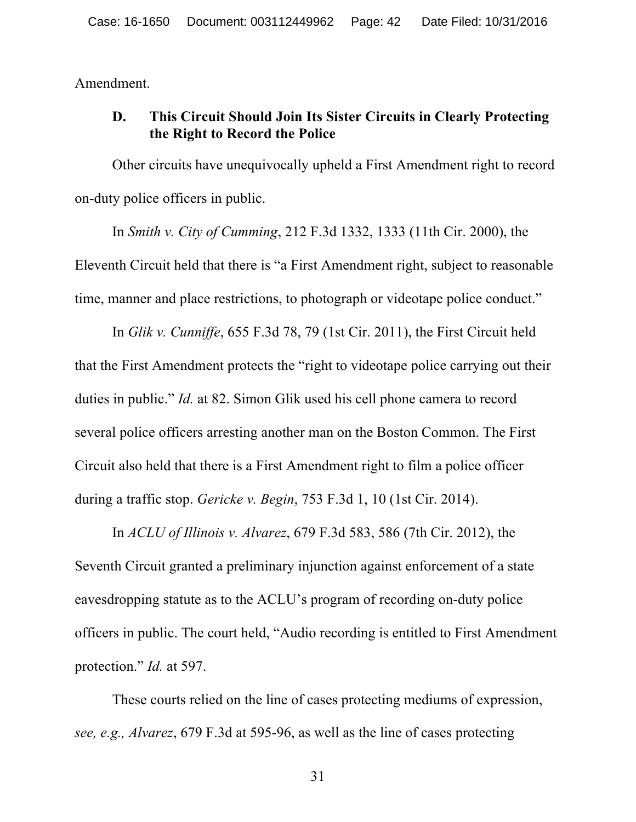Amendment.

# **D. This Circuit Should Join Its Sister Circuits in Clearly Protecting the Right to Record the Police**

Other circuits have unequivocally upheld a First Amendment right to record on-duty police officers in public.

In *Smith v. City of Cumming*, 212 F.3d 1332, 1333 (11th Cir. 2000), the Eleventh Circuit held that there is "a First Amendment right, subject to reasonable time, manner and place restrictions, to photograph or videotape police conduct."

In *Glik v. Cunniffe*, 655 F.3d 78, 79 (1st Cir. 2011), the First Circuit held that the First Amendment protects the "right to videotape police carrying out their duties in public." *Id.* at 82. Simon Glik used his cell phone camera to record several police officers arresting another man on the Boston Common. The First Circuit also held that there is a First Amendment right to film a police officer during a traffic stop. *Gericke v. Begin*, 753 F.3d 1, 10 (1st Cir. 2014).

In *ACLU of Illinois v. Alvarez*, 679 F.3d 583, 586 (7th Cir. 2012), the Seventh Circuit granted a preliminary injunction against enforcement of a state eavesdropping statute as to the ACLU's program of recording on-duty police officers in public. The court held, "Audio recording is entitled to First Amendment protection." *Id.* at 597.

These courts relied on the line of cases protecting mediums of expression, *see, e.g., Alvarez*, 679 F.3d at 595-96, as well as the line of cases protecting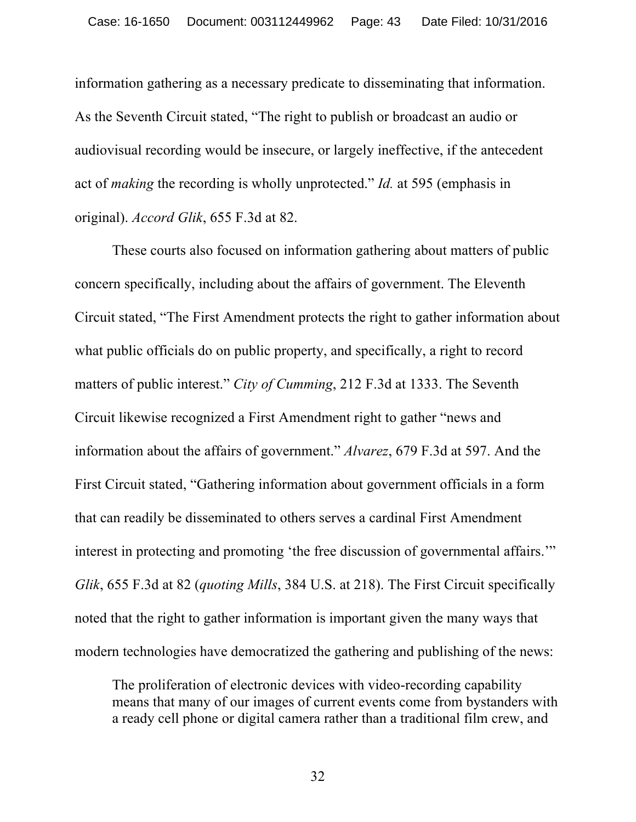information gathering as a necessary predicate to disseminating that information. As the Seventh Circuit stated, "The right to publish or broadcast an audio or audiovisual recording would be insecure, or largely ineffective, if the antecedent act of *making* the recording is wholly unprotected." *Id.* at 595 (emphasis in original). *Accord Glik*, 655 F.3d at 82.

These courts also focused on information gathering about matters of public concern specifically, including about the affairs of government. The Eleventh Circuit stated, "The First Amendment protects the right to gather information about what public officials do on public property, and specifically, a right to record matters of public interest." *City of Cumming*, 212 F.3d at 1333. The Seventh Circuit likewise recognized a First Amendment right to gather "news and information about the affairs of government." *Alvarez*, 679 F.3d at 597. And the First Circuit stated, "Gathering information about government officials in a form that can readily be disseminated to others serves a cardinal First Amendment interest in protecting and promoting 'the free discussion of governmental affairs.'" *Glik*, 655 F.3d at 82 (*quoting Mills*, 384 U.S. at 218). The First Circuit specifically noted that the right to gather information is important given the many ways that modern technologies have democratized the gathering and publishing of the news:

The proliferation of electronic devices with video-recording capability means that many of our images of current events come from bystanders with a ready cell phone or digital camera rather than a traditional film crew, and

32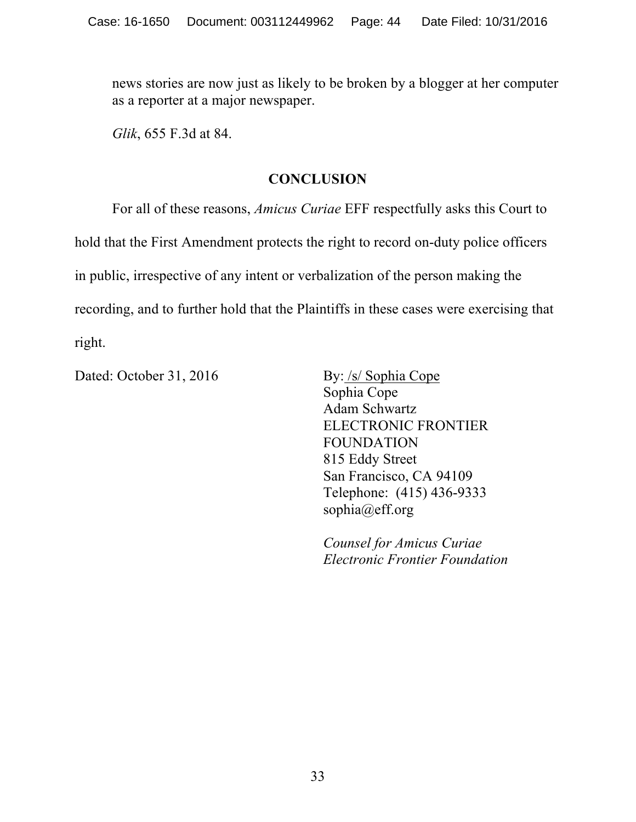news stories are now just as likely to be broken by a blogger at her computer as a reporter at a major newspaper.

*Glik*, 655 F.3d at 84.

### **CONCLUSION**

For all of these reasons, *Amicus Curiae* EFF respectfully asks this Court to hold that the First Amendment protects the right to record on-duty police officers in public, irrespective of any intent or verbalization of the person making the recording, and to further hold that the Plaintiffs in these cases were exercising that right.

Dated: October 31, 2016 By: /s/ Sophia Cope

Sophia Cope Adam Schwartz ELECTRONIC FRONTIER FOUNDATION 815 Eddy Street San Francisco, CA 94109 Telephone: (415) 436-9333 sophia@eff.org

*Counsel for Amicus Curiae Electronic Frontier Foundation*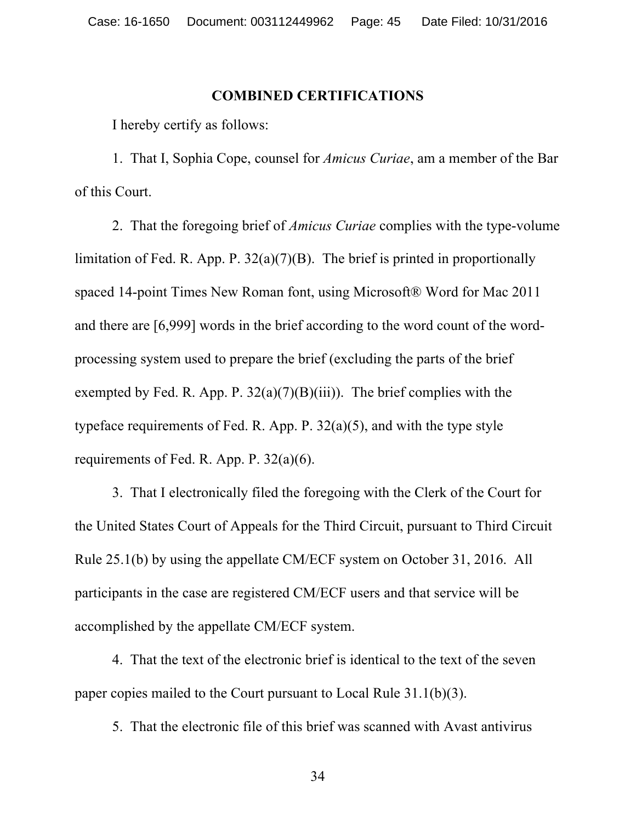#### **COMBINED CERTIFICATIONS**

I hereby certify as follows:

1. That I, Sophia Cope, counsel for *Amicus Curiae*, am a member of the Bar of this Court.

2. That the foregoing brief of *Amicus Curiae* complies with the type-volume limitation of Fed. R. App. P.  $32(a)(7)(B)$ . The brief is printed in proportionally spaced 14-point Times New Roman font, using Microsoft® Word for Mac 2011 and there are [6,999] words in the brief according to the word count of the wordprocessing system used to prepare the brief (excluding the parts of the brief exempted by Fed. R. App. P.  $32(a)(7)(B)(iii)$ . The brief complies with the typeface requirements of Fed. R. App. P. 32(a)(5), and with the type style requirements of Fed. R. App. P. 32(a)(6).

3. That I electronically filed the foregoing with the Clerk of the Court for the United States Court of Appeals for the Third Circuit, pursuant to Third Circuit Rule 25.1(b) by using the appellate CM/ECF system on October 31, 2016. All participants in the case are registered CM/ECF users and that service will be accomplished by the appellate CM/ECF system.

4. That the text of the electronic brief is identical to the text of the seven paper copies mailed to the Court pursuant to Local Rule 31.1(b)(3).

5. That the electronic file of this brief was scanned with Avast antivirus

34